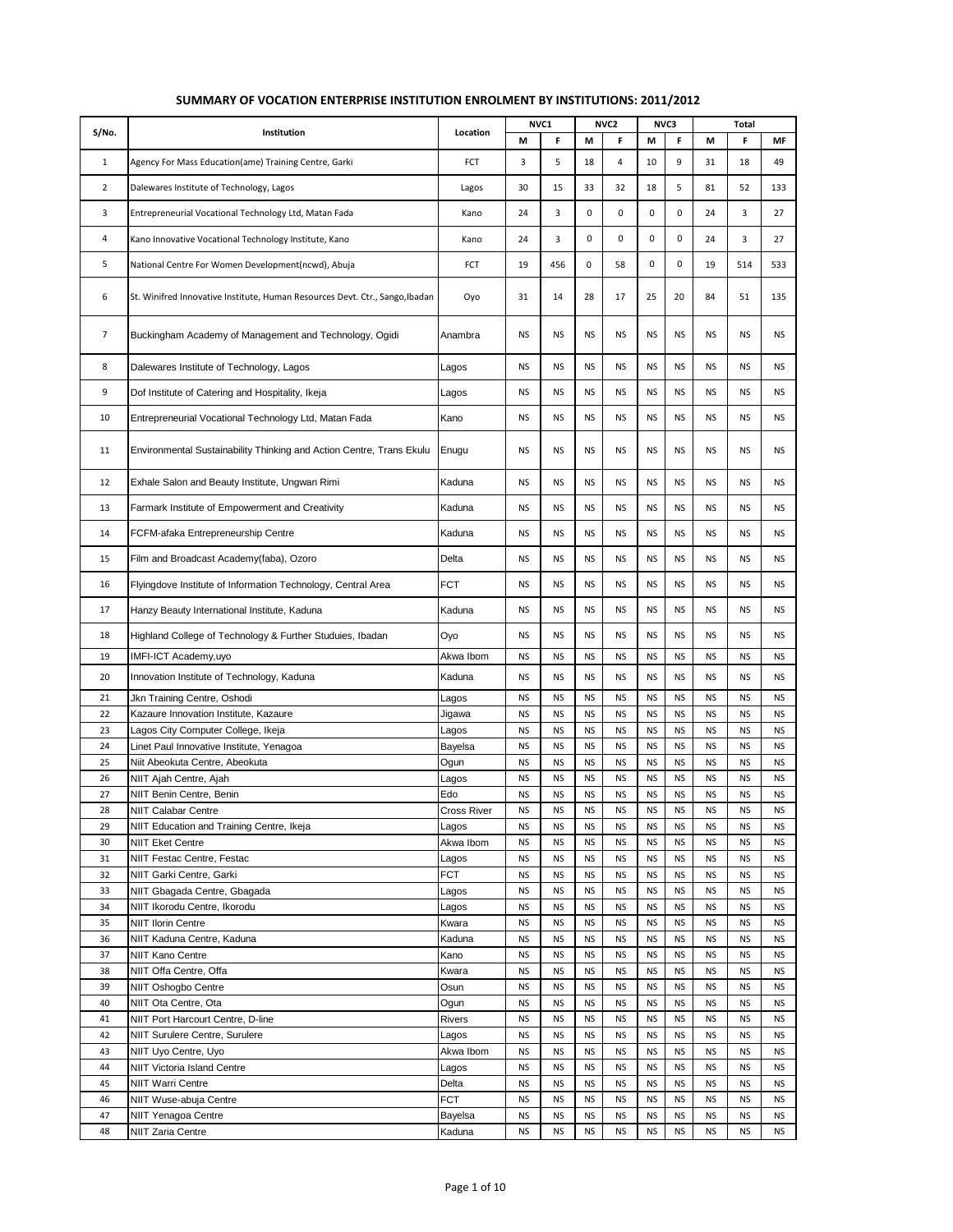|                |                                                                              |             |           | NVC1<br>NVC <sub>2</sub><br>NVC3 |           | Total          |           |           |           |           |           |
|----------------|------------------------------------------------------------------------------|-------------|-----------|----------------------------------|-----------|----------------|-----------|-----------|-----------|-----------|-----------|
| S/No.          | Institution                                                                  | Location    | M         | F                                | М         | F              | М         | F         | M         | F         | <b>MF</b> |
| $\mathbf{1}$   | Agency For Mass Education(ame) Training Centre, Garki                        | FCT         | 3         | 5                                | 18        | $\overline{4}$ | 10        | 9         | 31        | 18        | 49        |
| $\overline{2}$ | Dalewares Institute of Technology, Lagos                                     | Lagos       | 30        | 15                               | 33        | 32             | 18        | 5         | 81        | 52        | 133       |
|                |                                                                              |             |           |                                  |           |                |           |           |           |           |           |
| 3              | Entrepreneurial Vocational Technology Ltd, Matan Fada                        | Kano        | 24        | 3                                | 0         | 0              | 0         | 0         | 24        | 3         | 27        |
| 4              | Kano Innovative Vocational Technology Institute, Kano                        | Kano        | 24        | 3                                | 0         | 0              | 0         | 0         | 24        | 3         | 27        |
| 5              | National Centre For Women Development(ncwd), Abuja                           | FCT         | 19        | 456                              | 0         | 58             | 0         | 0         | 19        | 514       | 533       |
| 6              | St. Winifred Innovative Institute, Human Resources Devt. Ctr., Sango, Ibadan | Oyo         | 31        | 14                               | 28        | 17             | 25        | 20        | 84        | 51        | 135       |
| 7              | Buckingham Academy of Management and Technology, Ogidi                       | Anambra     | <b>NS</b> | <b>NS</b>                        | <b>NS</b> | <b>NS</b>      | <b>NS</b> | <b>NS</b> | <b>NS</b> | <b>NS</b> | <b>NS</b> |
| 8              | Dalewares Institute of Technology, Lagos                                     | Lagos       | <b>NS</b> | <b>NS</b>                        | <b>NS</b> | <b>NS</b>      | <b>NS</b> | <b>NS</b> | <b>NS</b> | <b>NS</b> | <b>NS</b> |
| 9              | Dof Institute of Catering and Hospitality, Ikeja                             | Lagos       | <b>NS</b> | <b>NS</b>                        | <b>NS</b> | <b>NS</b>      | <b>NS</b> | <b>NS</b> | <b>NS</b> | <b>NS</b> | <b>NS</b> |
| 10             | Entrepreneurial Vocational Technology Ltd, Matan Fada                        | Kano        | <b>NS</b> | <b>NS</b>                        | <b>NS</b> | <b>NS</b>      | <b>NS</b> | <b>NS</b> | <b>NS</b> | <b>NS</b> | <b>NS</b> |
| 11             | Environmental Sustainability Thinking and Action Centre, Trans Ekulu         | Enugu       | <b>NS</b> | <b>NS</b>                        | <b>NS</b> | <b>NS</b>      | <b>NS</b> | <b>NS</b> | <b>NS</b> | <b>NS</b> | NS        |
| 12             | Exhale Salon and Beauty Institute, Ungwan Rimi                               | Kaduna      | <b>NS</b> | <b>NS</b>                        | <b>NS</b> | <b>NS</b>      | <b>NS</b> | <b>NS</b> | <b>NS</b> | <b>NS</b> | <b>NS</b> |
| 13             | Farmark Institute of Empowerment and Creativity                              | Kaduna      | <b>NS</b> | <b>NS</b>                        | <b>NS</b> | <b>NS</b>      | <b>NS</b> | <b>NS</b> | <b>NS</b> | <b>NS</b> | NS        |
| 14             | FCFM-afaka Entrepreneurship Centre                                           | Kaduna      | <b>NS</b> | <b>NS</b>                        | <b>NS</b> | <b>NS</b>      | <b>NS</b> | <b>NS</b> | <b>NS</b> | <b>NS</b> | <b>NS</b> |
| 15             | Film and Broadcast Academy(faba), Ozoro                                      | Delta       | <b>NS</b> | <b>NS</b>                        | <b>NS</b> | <b>NS</b>      | <b>NS</b> | <b>NS</b> | <b>NS</b> | <b>NS</b> | <b>NS</b> |
|                |                                                                              |             |           |                                  |           |                |           |           |           |           |           |
| 16             | Flyingdove Institute of Information Technology, Central Area                 | <b>FCT</b>  | <b>NS</b> | <b>NS</b>                        | <b>NS</b> | <b>NS</b>      | <b>NS</b> | <b>NS</b> | <b>NS</b> | <b>NS</b> | <b>NS</b> |
| 17             | Hanzy Beauty International Institute, Kaduna                                 | Kaduna      | <b>NS</b> | <b>NS</b>                        | <b>NS</b> | <b>NS</b>      | <b>NS</b> | <b>NS</b> | <b>NS</b> | <b>NS</b> | <b>NS</b> |
| 18             | Highland College of Technology & Further Studuies, Ibadan                    | Oyo         | <b>NS</b> | <b>NS</b>                        | <b>NS</b> | <b>NS</b>      | <b>NS</b> | <b>NS</b> | <b>NS</b> | <b>NS</b> | <b>NS</b> |
| 19             | IMFI-ICT Academy, uyo                                                        | Akwa Ibom   | <b>NS</b> | <b>NS</b>                        | <b>NS</b> | <b>NS</b>      | <b>NS</b> | <b>NS</b> | <b>NS</b> | <b>NS</b> | <b>NS</b> |
| 20             | Innovation Institute of Technology, Kaduna                                   | Kaduna      | <b>NS</b> | <b>NS</b>                        | <b>NS</b> | <b>NS</b>      | <b>NS</b> | <b>NS</b> | <b>NS</b> | <b>NS</b> | <b>NS</b> |
| 21             | Jkn Training Centre, Oshodi                                                  | Lagos       | <b>NS</b> | <b>NS</b>                        | <b>NS</b> | <b>NS</b>      | <b>NS</b> | <b>NS</b> | <b>NS</b> | <b>NS</b> | <b>NS</b> |
| 22             | Kazaure Innovation Institute, Kazaure                                        | Jigawa      | <b>NS</b> | <b>NS</b>                        | <b>NS</b> | <b>NS</b>      | <b>NS</b> | <b>NS</b> | <b>NS</b> | <b>NS</b> | <b>NS</b> |
| 23             | Lagos City Computer College, Ikeja                                           | Lagos       | <b>NS</b> | <b>NS</b>                        | <b>NS</b> | <b>NS</b>      | <b>NS</b> | <b>NS</b> | <b>NS</b> | <b>NS</b> | <b>NS</b> |
| 24             | Linet Paul Innovative Institute, Yenagoa                                     | Bayelsa     | <b>NS</b> | <b>NS</b>                        | <b>NS</b> | <b>NS</b>      | <b>NS</b> | <b>NS</b> | <b>NS</b> | <b>NS</b> | <b>NS</b> |
| 25             | Niit Abeokuta Centre, Abeokuta                                               | Ogun        | <b>NS</b> | <b>NS</b>                        | <b>NS</b> | <b>NS</b>      | <b>NS</b> | <b>NS</b> | <b>NS</b> | <b>NS</b> | <b>NS</b> |
| 26             | NIIT Ajah Centre, Ajah                                                       | Lagos       | <b>NS</b> | <b>NS</b>                        | <b>NS</b> | <b>NS</b>      | <b>NS</b> | <b>NS</b> | <b>NS</b> | <b>NS</b> | <b>NS</b> |
| 27             | NIIT Benin Centre, Benin                                                     | Edo         | <b>NS</b> | <b>NS</b>                        | <b>NS</b> | <b>NS</b>      | <b>NS</b> | <b>NS</b> | <b>NS</b> | <b>NS</b> | <b>NS</b> |
| 28             | NIIT Calabar Centre                                                          | Cross River | ΝS        | ΝS                               | ΝS        | NS             | ΝS        | ΝS        | ΝS        | ΝS        | ΝS        |
| 29             | NIIT Education and Training Centre, Ikeja                                    | Lagos       | <b>NS</b> | <b>NS</b>                        | <b>NS</b> | <b>NS</b>      | <b>NS</b> | <b>NS</b> | <b>NS</b> | <b>NS</b> | <b>NS</b> |
| 30             | NIIT Eket Centre                                                             | Akwa Ibom   | <b>NS</b> | <b>NS</b>                        | <b>NS</b> | <b>NS</b>      | <b>NS</b> | <b>NS</b> | <b>NS</b> | <b>NS</b> | <b>NS</b> |
|                | NIIT Festac Centre, Festac                                                   |             |           |                                  |           |                |           |           |           |           |           |
| 31             |                                                                              | Lagos       | <b>NS</b> | NS                               | <b>NS</b> | <b>NS</b>      | <b>NS</b> | <b>NS</b> | <b>NS</b> | <b>NS</b> | ΝS        |
| 32             | NIIT Garki Centre, Garki                                                     | FCT         | <b>NS</b> | <b>NS</b>                        | <b>NS</b> | <b>NS</b>      | <b>NS</b> | <b>NS</b> | <b>NS</b> | <b>NS</b> | <b>NS</b> |
| 33             | NIIT Gbagada Centre, Gbagada                                                 | Lagos       | <b>NS</b> | <b>NS</b>                        | <b>NS</b> | <b>NS</b>      | <b>NS</b> | <b>NS</b> | <b>NS</b> | <b>NS</b> | ΝS        |
| 34             | NIIT Ikorodu Centre, Ikorodu                                                 | Lagos       | <b>NS</b> | <b>NS</b>                        | <b>NS</b> | <b>NS</b>      | <b>NS</b> | <b>NS</b> | <b>NS</b> | <b>NS</b> | <b>NS</b> |
| 35             | <b>NIIT Ilorin Centre</b>                                                    | Kwara       | <b>NS</b> | ΝS                               | <b>NS</b> | <b>NS</b>      | <b>NS</b> | <b>NS</b> | <b>NS</b> | <b>NS</b> | <b>NS</b> |
| 36             | NIIT Kaduna Centre, Kaduna                                                   | Kaduna      | <b>NS</b> | <b>NS</b>                        | <b>NS</b> | <b>NS</b>      | <b>NS</b> | <b>NS</b> | <b>NS</b> | <b>NS</b> | <b>NS</b> |
| 37             | NIIT Kano Centre                                                             | Kano        | <b>NS</b> | <b>NS</b>                        | <b>NS</b> | <b>NS</b>      | <b>NS</b> | <b>NS</b> | <b>NS</b> | <b>NS</b> | NS.       |
| 38             | NIIT Offa Centre, Offa                                                       | Kwara       | <b>NS</b> | ΝS                               | <b>NS</b> | <b>NS</b>      | <b>NS</b> | <b>NS</b> | <b>NS</b> | <b>NS</b> | ΝS        |
| 39             | NIIT Oshogbo Centre                                                          | Osun        | <b>NS</b> | ΝS                               | <b>NS</b> | <b>NS</b>      | <b>NS</b> | <b>NS</b> | <b>NS</b> | <b>NS</b> | <b>NS</b> |
| 40             | NIIT Ota Centre, Ota                                                         | Ogun        | <b>NS</b> | <b>NS</b>                        | <b>NS</b> | <b>NS</b>      | <b>NS</b> | <b>NS</b> | <b>NS</b> | <b>NS</b> | <b>NS</b> |
| 41             | NIIT Port Harcourt Centre, D-line                                            | Rivers      | <b>NS</b> | <b>NS</b>                        | <b>NS</b> | <b>NS</b>      | <b>NS</b> | <b>NS</b> | <b>NS</b> | <b>NS</b> | NS        |
| 42             | NIIT Surulere Centre, Surulere                                               | Lagos       | <b>NS</b> | <b>NS</b>                        | <b>NS</b> | <b>NS</b>      | <b>NS</b> | <b>NS</b> | <b>NS</b> | <b>NS</b> | NS.       |
| 43             |                                                                              |             | <b>NS</b> | <b>NS</b>                        | <b>NS</b> | <b>NS</b>      | <b>NS</b> | <b>NS</b> | <b>NS</b> | <b>NS</b> | <b>NS</b> |
|                | NIIT Uyo Centre, Uyo                                                         | Akwa Ibom   |           |                                  |           |                |           |           |           |           |           |
| 44             | NIIT Victoria Island Centre                                                  | Lagos       | <b>NS</b> | <b>NS</b>                        | <b>NS</b> | <b>NS</b>      | <b>NS</b> | <b>NS</b> | <b>NS</b> | <b>NS</b> | <b>NS</b> |
| 45             | NIIT Warri Centre                                                            | Delta       | <b>NS</b> | ΝS                               | <b>NS</b> | <b>NS</b>      | <b>NS</b> | <b>NS</b> | <b>NS</b> | <b>NS</b> | NS        |
| 46             | NIIT Wuse-abuja Centre                                                       | <b>FCT</b>  | <b>NS</b> | <b>NS</b>                        | <b>NS</b> | <b>NS</b>      | <b>NS</b> | <b>NS</b> | <b>NS</b> | <b>NS</b> | <b>NS</b> |
| 47             | NIIT Yenagoa Centre                                                          | Bayelsa     | <b>NS</b> | <b>NS</b>                        | <b>NS</b> | <b>NS</b>      | <b>NS</b> | <b>NS</b> | <b>NS</b> | <b>NS</b> | NS        |
| 48             | NIIT Zaria Centre                                                            | Kaduna      | <b>NS</b> | <b>NS</b>                        | <b>NS</b> | <b>NS</b>      | <b>NS</b> | <b>NS</b> | <b>NS</b> | <b>NS</b> | <b>NS</b> |

## **SUMMARY OF VOCATION ENTERPRISE INSTITUTION ENROLMENT BY INSTITUTIONS: 2011/2012**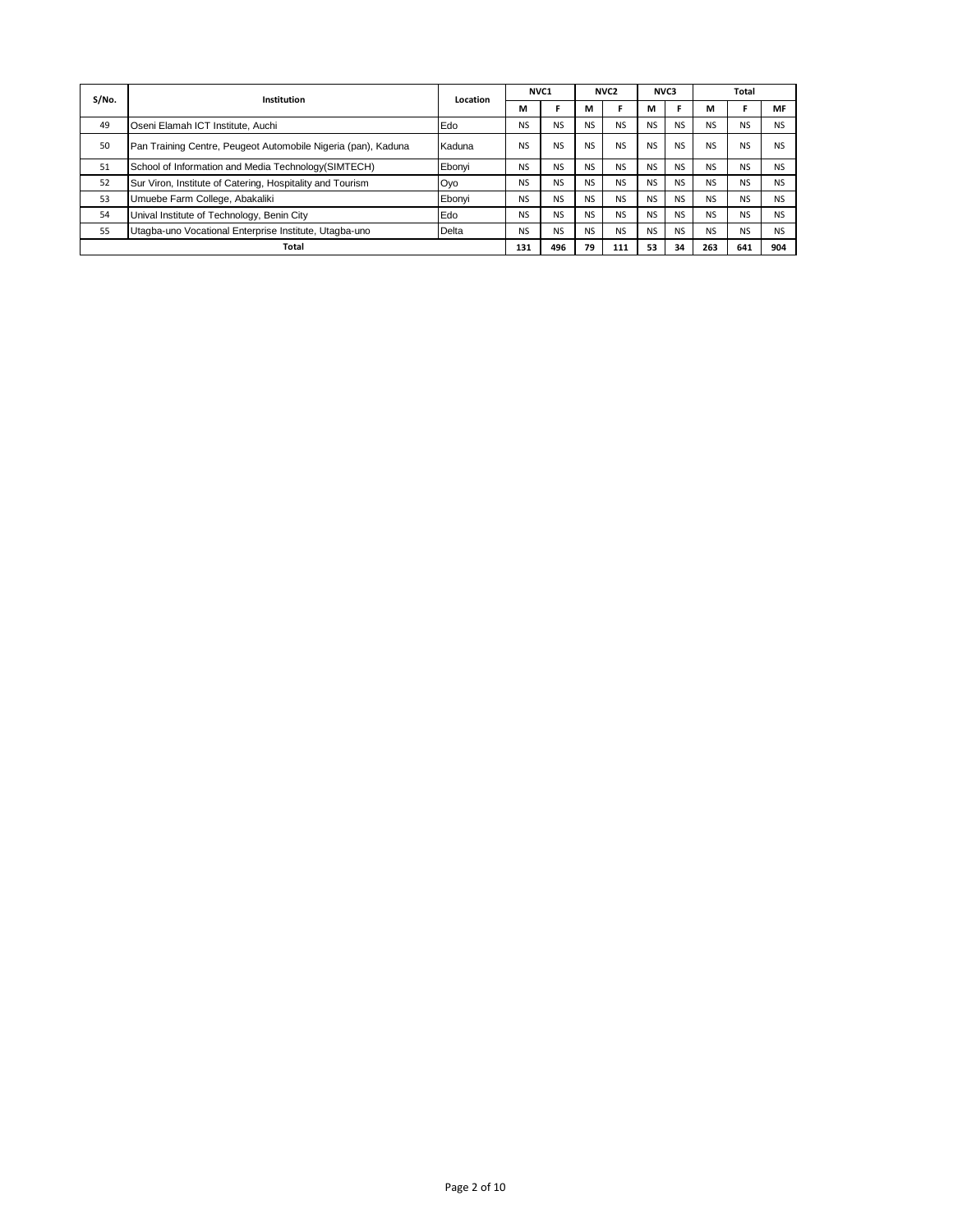| S/No. | Institution                                                   | Location | NVC <sub>1</sub> |                | NVC <sub>2</sub> |                | NVC3           |           | Total     |                |                |
|-------|---------------------------------------------------------------|----------|------------------|----------------|------------------|----------------|----------------|-----------|-----------|----------------|----------------|
|       |                                                               |          | м                |                | м                |                | м              |           | М         |                | MF             |
| 49    | Oseni Elamah ICT Institute, Auchi                             | Edo      | <b>NS</b>        | N <sub>S</sub> | <b>NS</b>        | <b>NS</b>      | <b>NS</b>      | <b>NS</b> | <b>NS</b> | <b>NS</b>      | <b>NS</b>      |
| 50    | Pan Training Centre, Peugeot Automobile Nigeria (pan), Kaduna | Kaduna   | <b>NS</b>        | <b>NS</b>      | <b>NS</b>        | N <sub>S</sub> | N <sub>S</sub> | <b>NS</b> | <b>NS</b> | N <sub>S</sub> | N <sub>S</sub> |
| 51    | School of Information and Media Technology (SIMTECH)          | Ebonyi   | <b>NS</b>        | N <sub>S</sub> | <b>NS</b>        | <b>NS</b>      | <b>NS</b>      | <b>NS</b> | <b>NS</b> | N <sub>S</sub> | <b>NS</b>      |
| 52    | Sur Viron, Institute of Catering, Hospitality and Tourism     | Oyo      | <b>NS</b>        | <b>NS</b>      | <b>NS</b>        | <b>NS</b>      | <b>NS</b>      | <b>NS</b> | <b>NS</b> | <b>NS</b>      | <b>NS</b>      |
| 53    | Umuebe Farm College, Abakaliki                                | Ebonyi   | <b>NS</b>        | <b>NS</b>      | <b>NS</b>        | <b>NS</b>      | <b>NS</b>      | <b>NS</b> | <b>NS</b> | <b>NS</b>      | <b>NS</b>      |
| 54    | Unival Institute of Technology, Benin City                    | Edo      | <b>NS</b>        | NS.            | <b>NS</b>        | <b>NS</b>      | <b>NS</b>      | <b>NS</b> | <b>NS</b> | <b>NS</b>      | <b>NS</b>      |
| 55    | Utagba-uno Vocational Enterprise Institute, Utagba-uno        | Delta    | <b>NS</b>        | NS             | <b>NS</b>        | <b>NS</b>      | <b>NS</b>      | <b>NS</b> | <b>NS</b> | <b>NS</b>      | NS             |
|       | Total                                                         |          | 131              | 496            | 79               | 111            | 53             | 34        | 263       | 641            | 904            |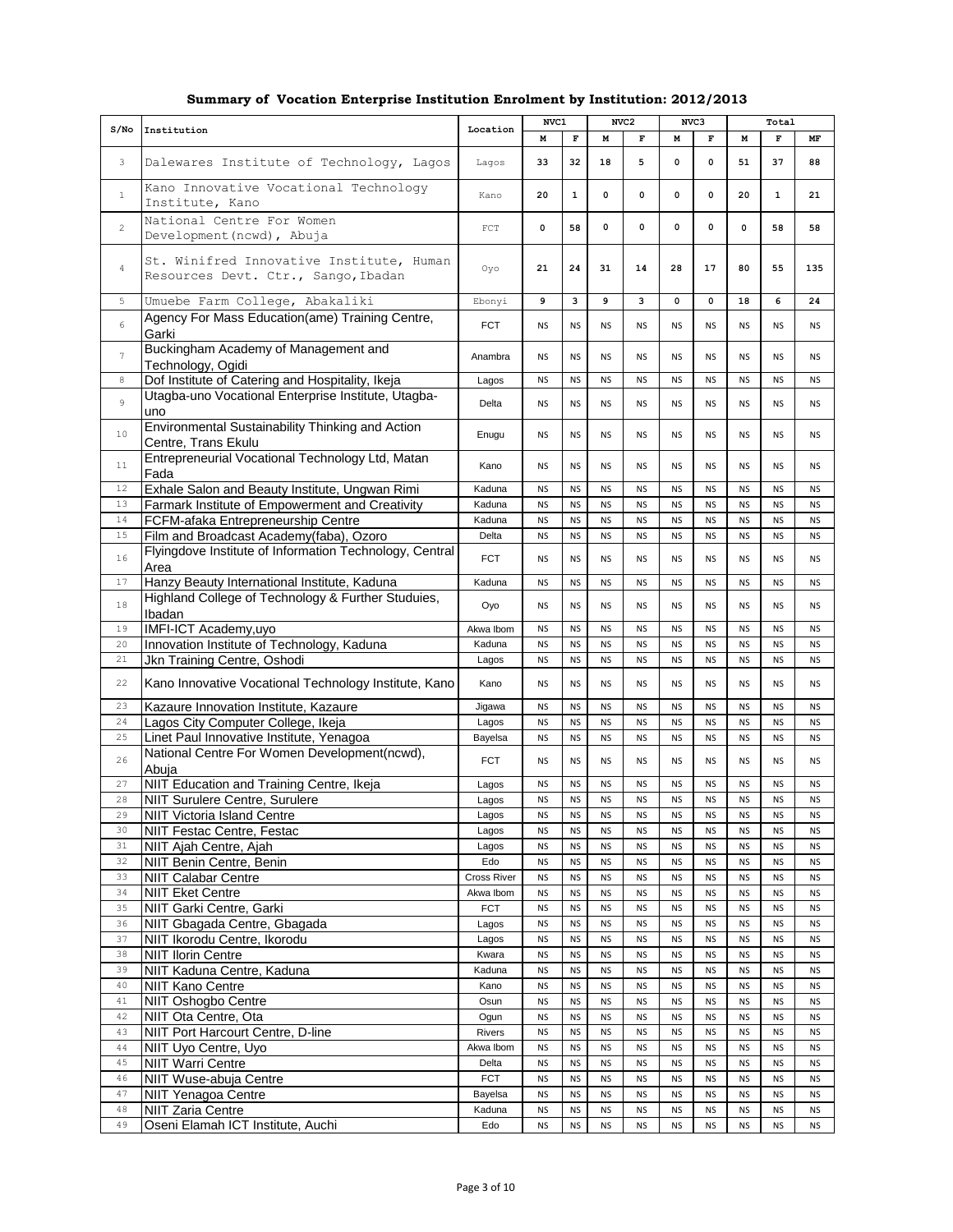|  |  | Summary of Vocation Enterprise Institution Enrolment by Institution: 2012/2013 |  |
|--|--|--------------------------------------------------------------------------------|--|
|  |  |                                                                                |  |

|                  |                                                                                                    |                     | NVC1                   |                        | NVC <sub>2</sub>       |                        | NVC3                   |                        |                        | Total                  |                        |
|------------------|----------------------------------------------------------------------------------------------------|---------------------|------------------------|------------------------|------------------------|------------------------|------------------------|------------------------|------------------------|------------------------|------------------------|
| S/N <sub>O</sub> | Institution                                                                                        | Location            | M                      | $\mathbf F$            | М                      | F                      | М                      | F                      | М                      | F                      | MF                     |
| 3                | Dalewares Institute of Technology, Lagos                                                           | Lagos               | 33                     | 32                     | 18                     | 5                      | 0                      | 0                      | 51                     | 37                     | 88                     |
| $\mathbf{1}$     | Kano Innovative Vocational Technology<br>Institute, Kano                                           | Kano                | 20                     | $\mathbf{1}$           | 0                      | 0                      | 0                      | 0                      | 20                     | $\mathbf{1}$           | 21                     |
| $\mathbf{2}$     | National Centre For Women<br>Development (ncwd), Abuja                                             | $_{\rm FCT}$        | $\mathbf 0$            | 58                     | $\mathbf 0$            | 0                      | 0                      | 0                      | $\mathbf 0$            | 58                     | 58                     |
| $\overline{4}$   | St. Winifred Innovative Institute, Human<br>Resources Devt. Ctr., Sango, Ibadan                    | Oyo                 | 21                     | 24                     | 31                     | 14                     | 28                     | 17                     | 80                     | 55                     | 135                    |
| $\overline{5}$   | Umuebe Farm College, Abakaliki                                                                     |                     | 9                      | 3                      | 9                      | 3                      | $\mathbf 0$            | $\mathbf 0$            | 18                     | 6                      | 24                     |
| 6                | Agency For Mass Education(ame) Training Centre,<br>Garki                                           | <b>FCT</b>          | <b>NS</b>              | <b>NS</b>              | <b>NS</b>              | <b>NS</b>              | <b>NS</b>              | <b>NS</b>              | <b>NS</b>              | <b>NS</b>              | <b>NS</b>              |
| $\boldsymbol{7}$ | Buckingham Academy of Management and<br>Technology, Ogidi                                          |                     | <b>NS</b>              | <b>NS</b>              | <b>NS</b>              | <b>NS</b>              | <b>NS</b>              | <b>NS</b>              | <b>NS</b>              | <b>NS</b>              | <b>NS</b>              |
| 8                | Dof Institute of Catering and Hospitality, Ikeja                                                   | Lagos               | <b>NS</b>              | <b>NS</b>              | <b>NS</b>              | <b>NS</b>              | <b>NS</b>              | <b>NS</b>              | <b>NS</b>              | <b>NS</b>              | <b>NS</b>              |
| 9                | Utagba-uno Vocational Enterprise Institute, Utagba-<br>uno                                         | Delta               | <b>NS</b>              | <b>NS</b>              | <b>NS</b>              | <b>NS</b>              | <b>NS</b>              | <b>NS</b>              | <b>NS</b>              | <b>NS</b>              | <b>NS</b>              |
| 10               | Environmental Sustainability Thinking and Action<br>Centre, Trans Ekulu                            | Enugu               | <b>NS</b>              | <b>NS</b>              | <b>NS</b>              | <b>NS</b>              | <b>NS</b>              | <b>NS</b>              | <b>NS</b>              | <b>NS</b>              | <b>NS</b>              |
| 11               | Entrepreneurial Vocational Technology Ltd, Matan<br>Fada                                           | Kano                | <b>NS</b>              | <b>NS</b>              | <b>NS</b>              | <b>NS</b>              | <b>NS</b>              | <b>NS</b>              | <b>NS</b>              | <b>NS</b>              | <b>NS</b>              |
| 12               | Exhale Salon and Beauty Institute, Ungwan Rimi                                                     | Kaduna              | <b>NS</b>              | <b>NS</b>              | <b>NS</b>              | <b>NS</b>              | <b>NS</b>              | <b>NS</b>              | <b>NS</b>              | <b>NS</b>              | <b>NS</b>              |
| 13               | Farmark Institute of Empowerment and Creativity                                                    | Kaduna              | <b>NS</b>              | <b>NS</b>              | <b>NS</b>              | <b>NS</b>              | <b>NS</b>              | <b>NS</b>              | <b>NS</b>              | <b>NS</b>              | <b>NS</b>              |
| 14               | FCFM-afaka Entrepreneurship Centre                                                                 | Kaduna              | <b>NS</b>              | <b>NS</b>              | <b>NS</b>              | <b>NS</b>              | <b>NS</b>              | <b>NS</b>              | <b>NS</b>              | <b>NS</b>              | <b>NS</b>              |
| 15<br>16         | Film and Broadcast Academy(faba), Ozoro<br>Flyingdove Institute of Information Technology, Central | Delta<br><b>FCT</b> | <b>NS</b><br><b>NS</b> | <b>NS</b><br><b>NS</b> | <b>NS</b><br><b>NS</b> | <b>NS</b><br><b>NS</b> | <b>NS</b><br><b>NS</b> | <b>NS</b><br><b>NS</b> | <b>NS</b><br><b>NS</b> | <b>NS</b><br><b>NS</b> | <b>NS</b><br><b>NS</b> |
|                  | Area                                                                                               |                     |                        |                        |                        |                        |                        |                        |                        |                        |                        |
| 17               | Hanzy Beauty International Institute, Kaduna                                                       | Kaduna              | <b>NS</b>              | <b>NS</b>              | <b>NS</b>              | <b>NS</b>              | <b>NS</b>              | <b>NS</b>              | <b>NS</b>              | <b>NS</b>              | <b>NS</b>              |
| 18               | Highland College of Technology & Further Studuies,<br>Ibadan                                       | Oyo                 | <b>NS</b>              | <b>NS</b>              | <b>NS</b>              | <b>NS</b>              | <b>NS</b>              | <b>NS</b>              | <b>NS</b>              | <b>NS</b>              | <b>NS</b>              |
| 19               | IMFI-ICT Academy, uyo                                                                              | Akwa Ibom           | <b>NS</b>              | <b>NS</b>              | <b>NS</b>              | <b>NS</b>              | <b>NS</b>              | <b>NS</b>              | <b>NS</b>              | <b>NS</b>              | <b>NS</b>              |
| 20               | Innovation Institute of Technology, Kaduna                                                         | Kaduna              | <b>NS</b>              | <b>NS</b>              | <b>NS</b>              | <b>NS</b>              | <b>NS</b>              | <b>NS</b>              | <b>NS</b>              | <b>NS</b>              | <b>NS</b>              |
| 21               | Jkn Training Centre, Oshodi                                                                        | Lagos               | <b>NS</b>              | <b>NS</b>              | <b>NS</b>              | <b>NS</b>              | <b>NS</b>              | <b>NS</b>              | <b>NS</b>              | <b>NS</b>              | <b>NS</b>              |
| 22               | Kano Innovative Vocational Technology Institute, Kano                                              | Kano                | <b>NS</b>              | <b>NS</b>              | <b>NS</b>              | <b>NS</b>              | <b>NS</b>              | <b>NS</b>              | <b>NS</b>              | <b>NS</b>              | <b>NS</b>              |
| 23<br>24         | Kazaure Innovation Institute, Kazaure                                                              | Jigawa              | <b>NS</b>              | <b>NS</b>              | <b>NS</b>              | <b>NS</b>              | <b>NS</b>              | <b>NS</b>              | <b>NS</b>              | <b>NS</b>              | <b>NS</b>              |
| 25               | Lagos City Computer College, Ikeja<br>Linet Paul Innovative Institute, Yenagoa                     | Lagos<br>Bayelsa    | <b>NS</b><br><b>NS</b> | <b>NS</b><br><b>NS</b> | <b>NS</b><br><b>NS</b> | <b>NS</b><br><b>NS</b> | <b>NS</b><br><b>NS</b> | <b>NS</b><br><b>NS</b> | <b>NS</b><br><b>NS</b> | <b>NS</b><br><b>NS</b> | <b>NS</b><br><b>NS</b> |
|                  | National Centre For Women Development(ncwd),                                                       |                     |                        |                        |                        |                        |                        |                        |                        |                        |                        |
| 26<br>27         | Abuia                                                                                              | <b>FCT</b>          | <b>NS</b>              | <b>NS</b>              | <b>NS</b>              | <b>NS</b>              | <b>NS</b>              | <b>NS</b>              | <b>NS</b>              | <b>NS</b>              | <b>NS</b>              |
| 28               | NIIT Education and Training Centre, Ikeja<br>NIIT Surulere Centre, Surulere                        | Lagos<br>Lagos      | <b>NS</b><br><b>NS</b> | <b>NS</b><br><b>NS</b> | <b>NS</b><br><b>NS</b> | <b>NS</b><br><b>NS</b> | <b>NS</b><br><b>NS</b> | <b>NS</b><br><b>NS</b> | <b>NS</b><br><b>NS</b> | <b>NS</b><br><b>NS</b> | <b>NS</b><br><b>NS</b> |
| 29               | <b>NIIT Victoria Island Centre</b>                                                                 | Lagos               | <b>NS</b>              | <b>NS</b>              | <b>NS</b>              | <b>NS</b>              | <b>NS</b>              | <b>NS</b>              | <b>NS</b>              | <b>NS</b>              | <b>NS</b>              |
| 30               | NIIT Festac Centre, Festac                                                                         | Lagos               | <b>NS</b>              | <b>NS</b>              | <b>NS</b>              | NS                     | <b>NS</b>              | <b>NS</b>              | <b>NS</b>              | <b>NS</b>              | <b>NS</b>              |
| 31               | NIIT Ajah Centre, Ajah                                                                             | Lagos               | <b>NS</b>              | <b>NS</b>              | <b>NS</b>              | <b>NS</b>              | <b>NS</b>              | <b>NS</b>              | <b>NS</b>              | <b>NS</b>              | <b>NS</b>              |
| 32               | NIIT Benin Centre, Benin                                                                           | Edo                 | <b>NS</b>              | <b>NS</b>              | <b>NS</b>              | <b>NS</b>              | <b>NS</b>              | <b>NS</b>              | <b>NS</b>              | <b>NS</b>              | <b>NS</b>              |
| 33               | <b>NIIT Calabar Centre</b>                                                                         | Cross River         | <b>NS</b>              | <b>NS</b>              | <b>NS</b>              | NS                     | <b>NS</b>              | <b>NS</b>              | <b>NS</b>              | <b>NS</b>              | <b>NS</b>              |
| 34               | <b>NIIT Eket Centre</b>                                                                            | Akwa Ibom           | <b>NS</b>              | <b>NS</b>              | <b>NS</b>              | <b>NS</b>              | <b>NS</b>              | <b>NS</b>              | <b>NS</b>              | <b>NS</b>              | <b>NS</b>              |
| 35               | NIIT Garki Centre, Garki                                                                           | <b>FCT</b>          | <b>NS</b>              | <b>NS</b>              | <b>NS</b>              | <b>NS</b>              | <b>NS</b>              | <b>NS</b>              | <b>NS</b>              | <b>NS</b>              | <b>NS</b>              |
| 36               | NIIT Gbagada Centre, Gbagada                                                                       | Lagos               | <b>NS</b>              | <b>NS</b>              | <b>NS</b>              | <b>NS</b>              | <b>NS</b>              | <b>NS</b>              | <b>NS</b>              | <b>NS</b>              | <b>NS</b>              |
| 37               | NIIT Ikorodu Centre, Ikorodu                                                                       | Lagos               | <b>NS</b>              | <b>NS</b>              | <b>NS</b>              | <b>NS</b>              | <b>NS</b>              | <b>NS</b>              | <b>NS</b>              | NS                     | <b>NS</b>              |
| 38               | <b>NIIT Ilorin Centre</b>                                                                          | Kwara               | <b>NS</b>              | <b>NS</b>              | <b>NS</b>              | <b>NS</b>              | <b>NS</b>              | <b>NS</b>              | <b>NS</b>              | <b>NS</b>              | <b>NS</b>              |
| 39<br>40         | NIIT Kaduna Centre, Kaduna<br>NIIT Kano Centre                                                     | Kaduna<br>Kano      | <b>NS</b>              | <b>NS</b>              | <b>NS</b>              | <b>NS</b>              | <b>NS</b><br><b>NS</b> | <b>NS</b>              | <b>NS</b>              | <b>NS</b><br><b>NS</b> | <b>NS</b>              |
| $4\,1$           | NIIT Oshogbo Centre                                                                                | Osun                | <b>NS</b><br><b>NS</b> | <b>NS</b><br><b>NS</b> | <b>NS</b><br><b>NS</b> | <b>NS</b><br><b>NS</b> | <b>NS</b>              | <b>NS</b><br><b>NS</b> | <b>NS</b><br><b>NS</b> | <b>NS</b>              | NS<br><b>NS</b>        |
| 42               | NIIT Ota Centre, Ota                                                                               | Ogun                | <b>NS</b>              | <b>NS</b>              | <b>NS</b>              | <b>NS</b>              | <b>NS</b>              | <b>NS</b>              | <b>NS</b>              | <b>NS</b>              | <b>NS</b>              |
| 43               | NIIT Port Harcourt Centre, D-line                                                                  | Rivers              | <b>NS</b>              | <b>NS</b>              | <b>NS</b>              | <b>NS</b>              | <b>NS</b>              | <b>NS</b>              | <b>NS</b>              | <b>NS</b>              | <b>NS</b>              |
| 44               | NIIT Uyo Centre, Uyo                                                                               | Akwa Ibom           | <b>NS</b>              | <b>NS</b>              | <b>NS</b>              | <b>NS</b>              | <b>NS</b>              | <b>NS</b>              | <b>NS</b>              | <b>NS</b>              | <b>NS</b>              |
| 45               | <b>NIIT Warri Centre</b>                                                                           | Delta               | <b>NS</b>              | <b>NS</b>              | <b>NS</b>              | <b>NS</b>              | <b>NS</b>              | <b>NS</b>              | <b>NS</b>              | <b>NS</b>              | <b>NS</b>              |
| 46               | NIIT Wuse-abuja Centre                                                                             | <b>FCT</b>          | <b>NS</b>              | <b>NS</b>              | <b>NS</b>              | <b>NS</b>              | <b>NS</b>              | <b>NS</b>              | <b>NS</b>              | <b>NS</b>              | <b>NS</b>              |
| 47               | <b>NIIT Yenagoa Centre</b>                                                                         | Bayelsa             | <b>NS</b>              | <b>NS</b>              | <b>NS</b>              | <b>NS</b>              | <b>NS</b>              | <b>NS</b>              | <b>NS</b>              | <b>NS</b>              | <b>NS</b>              |
| $4\,8$           | <b>NIIT Zaria Centre</b>                                                                           | Kaduna              | <b>NS</b>              | <b>NS</b>              | <b>NS</b>              | <b>NS</b>              | <b>NS</b>              | <b>NS</b>              | <b>NS</b>              | <b>NS</b>              | <b>NS</b>              |
| 49               | Oseni Elamah ICT Institute, Auchi                                                                  | Edo                 | <b>NS</b>              | <b>NS</b>              | <b>NS</b>              | <b>NS</b>              | <b>NS</b>              | <b>NS</b>              | <b>NS</b>              | <b>NS</b>              | <b>NS</b>              |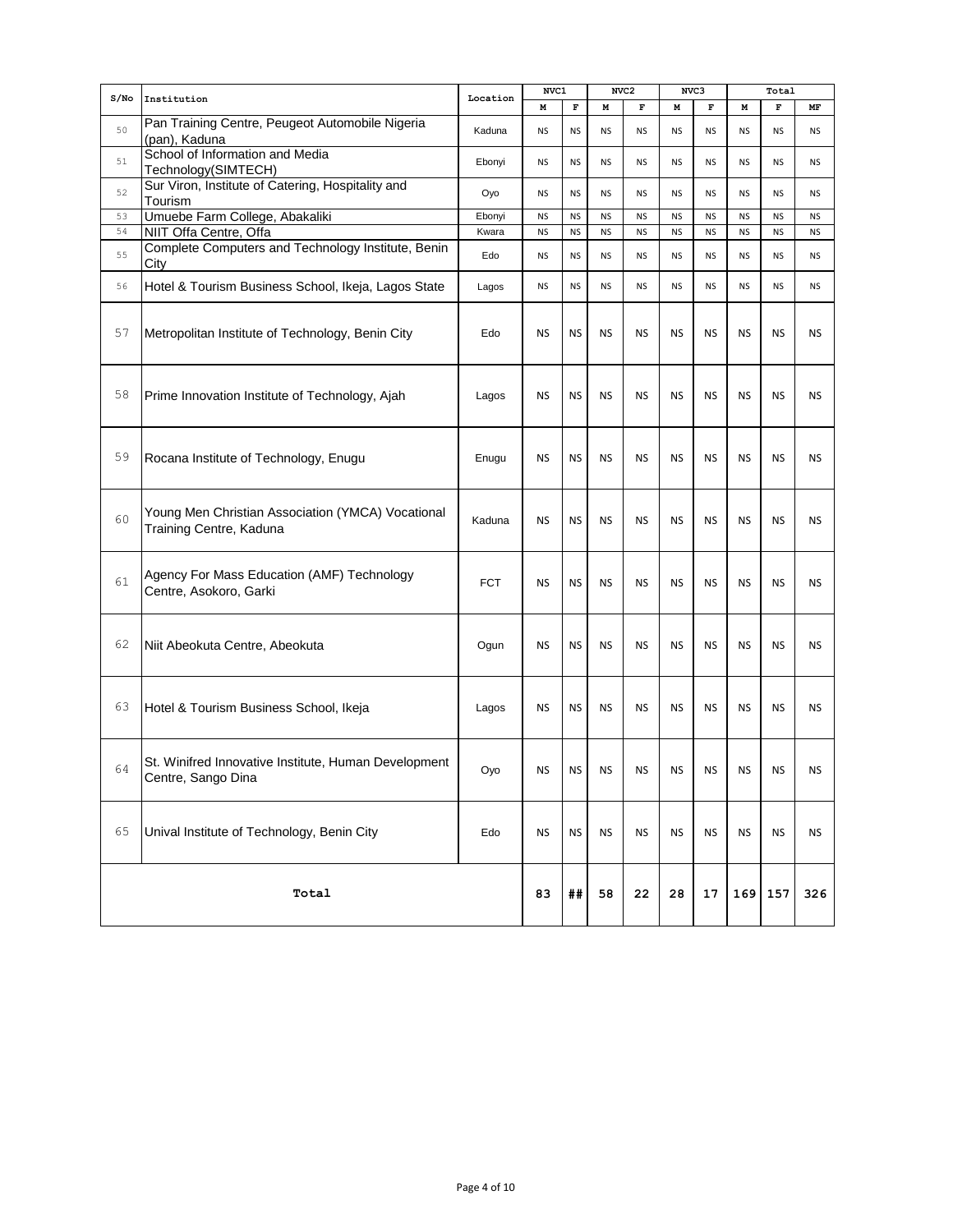|      |                                                                              |            | NVC1      |             |           | NVC <sub>2</sub> |           | NVC3        |           | Total       |           |
|------|------------------------------------------------------------------------------|------------|-----------|-------------|-----------|------------------|-----------|-------------|-----------|-------------|-----------|
| S/NO | Institution                                                                  | Location   | М         | $\mathbf F$ | M         | $\mathbf F$      | M         | $\mathbf F$ | M         | $\mathbf F$ | MF        |
| 50   | Pan Training Centre, Peugeot Automobile Nigeria<br>(pan), Kaduna             | Kaduna     | <b>NS</b> | <b>NS</b>   | <b>NS</b> | <b>NS</b>        | <b>NS</b> | <b>NS</b>   | <b>NS</b> | <b>NS</b>   | <b>NS</b> |
| 51   | School of Information and Media<br>Technology(SIMTECH)                       | Ebonyi     | <b>NS</b> | <b>NS</b>   | <b>NS</b> | <b>NS</b>        | <b>NS</b> | NS          | <b>NS</b> | <b>NS</b>   | <b>NS</b> |
| 52   | Sur Viron, Institute of Catering, Hospitality and<br>Tourism                 | Oyo        | <b>NS</b> | <b>NS</b>   | <b>NS</b> | NS               | <b>NS</b> | NS          | <b>NS</b> | <b>NS</b>   | ΝS        |
| 53   | Umuebe Farm College, Abakaliki                                               | Ebonyi     | <b>NS</b> | <b>NS</b>   | <b>NS</b> | <b>NS</b>        | <b>NS</b> | <b>NS</b>   | <b>NS</b> | <b>NS</b>   | <b>NS</b> |
| 54   | NIIT Offa Centre, Offa                                                       | Kwara      | <b>NS</b> | <b>NS</b>   | <b>NS</b> | <b>NS</b>        | <b>NS</b> | NS          | <b>NS</b> | <b>NS</b>   | <b>NS</b> |
| 55   | Complete Computers and Technology Institute, Benin<br>City                   | Edo        | <b>NS</b> | <b>NS</b>   | <b>NS</b> | <b>NS</b>        | <b>NS</b> | <b>NS</b>   | <b>NS</b> | <b>NS</b>   | <b>NS</b> |
| 56   | Hotel & Tourism Business School, Ikeja, Lagos State                          | Lagos      | <b>NS</b> | <b>NS</b>   | <b>NS</b> | NS               | <b>NS</b> | <b>NS</b>   | <b>NS</b> | <b>NS</b>   | ΝS        |
| 57   | Metropolitan Institute of Technology, Benin City                             | Edo        | <b>NS</b> | <b>NS</b>   | <b>NS</b> | <b>NS</b>        | <b>NS</b> | <b>NS</b>   | <b>NS</b> | <b>NS</b>   | NS        |
| 58   | Prime Innovation Institute of Technology, Ajah                               | Lagos      | <b>NS</b> | <b>NS</b>   | <b>NS</b> | <b>NS</b>        | <b>NS</b> | <b>NS</b>   | <b>NS</b> | <b>NS</b>   | <b>NS</b> |
| 59   | Rocana Institute of Technology, Enugu                                        | Enugu      | <b>NS</b> | <b>NS</b>   | <b>NS</b> | <b>NS</b>        | <b>NS</b> | <b>NS</b>   | <b>NS</b> | <b>NS</b>   | <b>NS</b> |
| 60   | Young Men Christian Association (YMCA) Vocational<br>Training Centre, Kaduna | Kaduna     | <b>NS</b> | <b>NS</b>   | <b>NS</b> | <b>NS</b>        | <b>NS</b> | <b>NS</b>   | <b>NS</b> | <b>NS</b>   | <b>NS</b> |
| 61   | Agency For Mass Education (AMF) Technology<br>Centre, Asokoro, Garki         | <b>FCT</b> | <b>NS</b> | <b>NS</b>   | <b>NS</b> | <b>NS</b>        | <b>NS</b> | <b>NS</b>   | <b>NS</b> | <b>NS</b>   | <b>NS</b> |
| 62   | Niit Abeokuta Centre, Abeokuta                                               | Ogun       | <b>NS</b> | <b>NS</b>   | <b>NS</b> | <b>NS</b>        | <b>NS</b> | <b>NS</b>   | <b>NS</b> | <b>NS</b>   | <b>NS</b> |
| 63   | Hotel & Tourism Business School, Ikeja                                       | Lagos      | <b>NS</b> | <b>NS</b>   | <b>NS</b> | <b>NS</b>        | <b>NS</b> | <b>NS</b>   | <b>NS</b> | NS          | NS        |
| 64   | St. Winifred Innovative Institute, Human Development<br>Centre, Sango Dina   | Oyo        | <b>NS</b> | <b>NS</b>   | <b>NS</b> | <b>NS</b>        | <b>NS</b> | <b>NS</b>   | <b>NS</b> | <b>NS</b>   | <b>NS</b> |
| 65   | Unival Institute of Technology, Benin City                                   | Edo        | <b>NS</b> | <b>NS</b>   | <b>NS</b> | <b>NS</b>        | <b>NS</b> | <b>NS</b>   | <b>NS</b> | <b>NS</b>   | <b>NS</b> |
|      | Total                                                                        |            | 83        | ##          | 58        | 22               | 28        | 17          | 169       | 157         | 326       |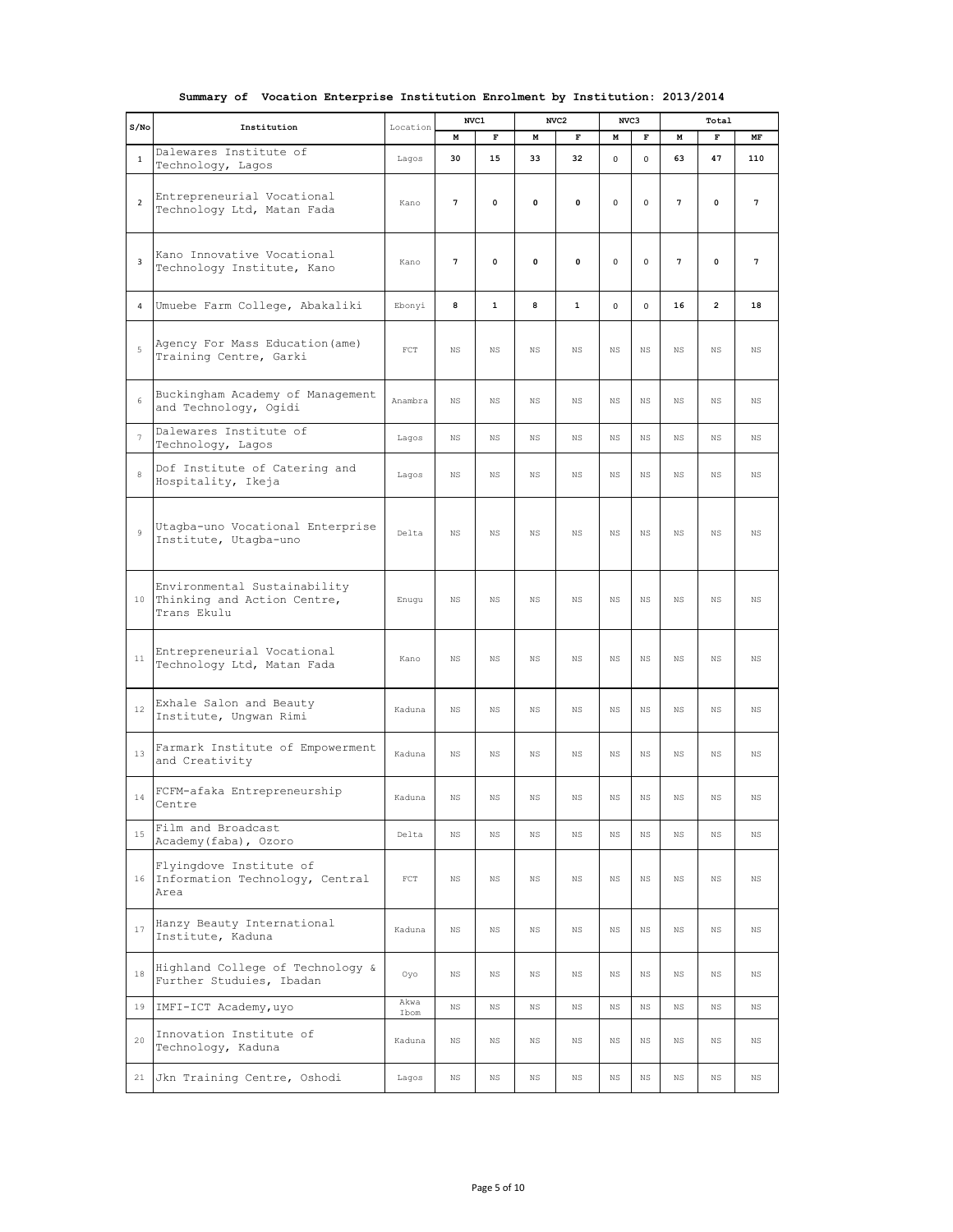|  |  |  |  |  |  | Summary of Vocation Enterprise Institution Enrolment by Institution: 2013/2014 |  |
|--|--|--|--|--|--|--------------------------------------------------------------------------------|--|
|--|--|--|--|--|--|--------------------------------------------------------------------------------|--|

| S/No           | Institution                                                                | Location     | NVC1        |              |              | NVC <sub>2</sub> | NVC3        |             | Total       |                |             |
|----------------|----------------------------------------------------------------------------|--------------|-------------|--------------|--------------|------------------|-------------|-------------|-------------|----------------|-------------|
|                |                                                                            |              | M           | $\mathbf F$  | M            | $\mathbf F$      | м           | $\mathbf F$ | М           | $\mathbf F$    | MF          |
| $\mathbf{1}$   | Dalewares Institute of<br>Technology, Lagos                                | Lagos        | 30          | 15           | 33           | 32               | 0           | $\mathbf 0$ | 63          | 47             | 110         |
| $\overline{2}$ | Entrepreneurial Vocational<br>Technology Ltd, Matan Fada                   | Kano         | 7           | $\mathbf 0$  | $\mathbf{0}$ | 0                | 0           | $\mathbf 0$ | 7           | $\mathbf 0$    | 7           |
| 3              | Kano Innovative Vocational<br>Technology Institute, Kano                   | Kano         | 7           | $\mathbf 0$  | $\mathbf{0}$ | 0                | 0           | $\mathbf 0$ | 7           | $\mathbf 0$    | 7           |
| 4              | Umuebe Farm College, Abakaliki                                             | Ebonyi       | 8           | $\mathbf{1}$ | 8            | $\mathbf{1}$     | $\mathbf 0$ | 0           | 16          | $\overline{2}$ | 18          |
| 5              | Agency For Mass Education (ame)<br>Training Centre, Garki                  | $_{\rm FCT}$ | $_{\rm NS}$ | $_{\rm NS}$  | $_{\rm NS}$  | <b>NS</b>        | $_{\rm NS}$ | $_{\rm NS}$ | $_{\rm NS}$ | <b>NS</b>      | $_{\rm NS}$ |
| 6              | Buckingham Academy of Management<br>and Technology, Ogidi                  | Anambra      | <b>NS</b>   | <b>NS</b>    | $_{\rm NS}$  | <b>NS</b>        | $_{\rm NS}$ | NS          | <b>NS</b>   | <b>NS</b>      | $_{\rm NS}$ |
| $\overline{7}$ | Dalewares Institute of<br>Technology, Lagos                                | Lagos        | <b>NS</b>   | <b>NS</b>    | $_{\rm NS}$  | <b>NS</b>        | $_{\rm NS}$ | <b>NS</b>   | <b>NS</b>   | <b>NS</b>      | <b>NS</b>   |
| 8              | Dof Institute of Catering and<br>Hospitality, Ikeja                        | Lagos        | NS          | $_{\rm NS}$  | NS           | NS               | $_{\rm NS}$ | NS          | NS          | $_{\rm NS}$    | $_{\rm NS}$ |
| $\overline{9}$ | Utagba-uno Vocational Enterprise<br>Institute, Utagba-uno                  | Delta        | <b>NS</b>   | <b>NS</b>    | <b>NS</b>    | <b>NS</b>        | $_{\rm NS}$ | NS          | <b>NS</b>   | $_{\rm NS}$    | $_{\rm NS}$ |
| 10             | Environmental Sustainability<br>Thinking and Action Centre,<br>Trans Ekulu | Enugu        | <b>NS</b>   | <b>NS</b>    | $_{\rm NS}$  | <b>NS</b>        | <b>NS</b>   | <b>NS</b>   | <b>NS</b>   | <b>NS</b>      | $_{\rm NS}$ |
| 11             | Entrepreneurial Vocational<br>Technology Ltd, Matan Fada                   | Kano         | $_{\rm NS}$ | $_{\rm NS}$  | NS           | $_{\rm NS}$      | $_{\rm NS}$ | NS          | $_{\rm NS}$ | $_{\rm NS}$    | $_{\rm NS}$ |
| 12             | Exhale Salon and Beauty<br>Institute, Ungwan Rimi                          | Kaduna       | $_{\rm NS}$ | $_{\rm NS}$  | $_{\rm NS}$  | NS               | $_{\rm NS}$ | NS          | $_{\rm NS}$ | $_{\rm NS}$    | $_{\rm NS}$ |
| 13             | Farmark Institute of Empowerment<br>and Creativity                         | Kaduna       | <b>NS</b>   | <b>NS</b>    | NS           | <b>NS</b>        | <b>NS</b>   | <b>NS</b>   | <b>NS</b>   | <b>NS</b>      | <b>NS</b>   |
| $1\,4$         | FCFM-afaka Entrepreneurship<br>Centre                                      | Kaduna       | <b>NS</b>   | $_{\rm NS}$  | $_{\rm NS}$  | $_{\rm NS}$      | $_{\rm NS}$ | $_{\rm NS}$ | $_{\rm NS}$ | $_{\rm NS}$    | $_{\rm NS}$ |
| 15             | Film and Broadcast<br>Academy (faba), Ozoro                                | Delta        | <b>NS</b>   | $_{\rm NS}$  | $_{\rm NS}$  | <b>NS</b>        | <b>NS</b>   | $_{\rm NS}$ | <b>NS</b>   | <b>NS</b>      | <b>NS</b>   |
|                | Flyingdove Institute of<br>16 Information Technology, Central<br>Area      | $_{\rm FCT}$ | $_{\rm NS}$ | $_{\rm NS}$  | $_{\rm NS}$  | <b>NS</b>        | $_{\rm NS}$ | $_{\rm NS}$ | $_{\rm NS}$ | $_{\rm NS}$    | $_{\rm NS}$ |
| 17             | Hanzy Beauty International<br>Institute, Kaduna                            | Kaduna       | $_{\rm NS}$ | $_{\rm NS}$  | $_{\rm NS}$  | $_{\rm NS}$      | $_{\rm NS}$ | $_{\rm NS}$ | $_{\rm NS}$ | $_{\rm NS}$    | $_{\rm NS}$ |
| 18             | Highland College of Technology &<br>Further Studuies, Ibadan               | Oyo          | $_{\rm NS}$ | $_{\rm NS}$  | $_{\rm NS}$  | $_{\rm NS}$      | $_{\rm NS}$ | $_{\rm NS}$ | $_{\rm NS}$ | $_{\rm NS}$    | $_{\rm NS}$ |
| 19             | IMFI-ICT Academy, uyo                                                      | Akwa<br>Ibom | $_{\rm NS}$ | $_{\rm NS}$  | $_{\rm NS}$  | $_{\rm NS}$      | $_{\rm NS}$ | $_{\rm NS}$ | $_{\rm NS}$ | $_{\rm NS}$    | $_{\rm NS}$ |
| 20             | Innovation Institute of<br>Technology, Kaduna                              | Kaduna       | $_{\rm NS}$ | $_{\rm NS}$  | $_{\rm NS}$  | NS               | ΝS          | ΝS          | ΝS          | $_{\rm NS}$    | $_{\rm NS}$ |
|                | 21 Jkn Training Centre, Oshodi                                             | Lagos        | $_{\rm NS}$ | $_{\rm NS}$  | $_{\rm NS}$  | $_{\rm NS}$      | $_{\rm NS}$ | NS          | ΝS          | $_{\rm NS}$    | $_{\rm NS}$ |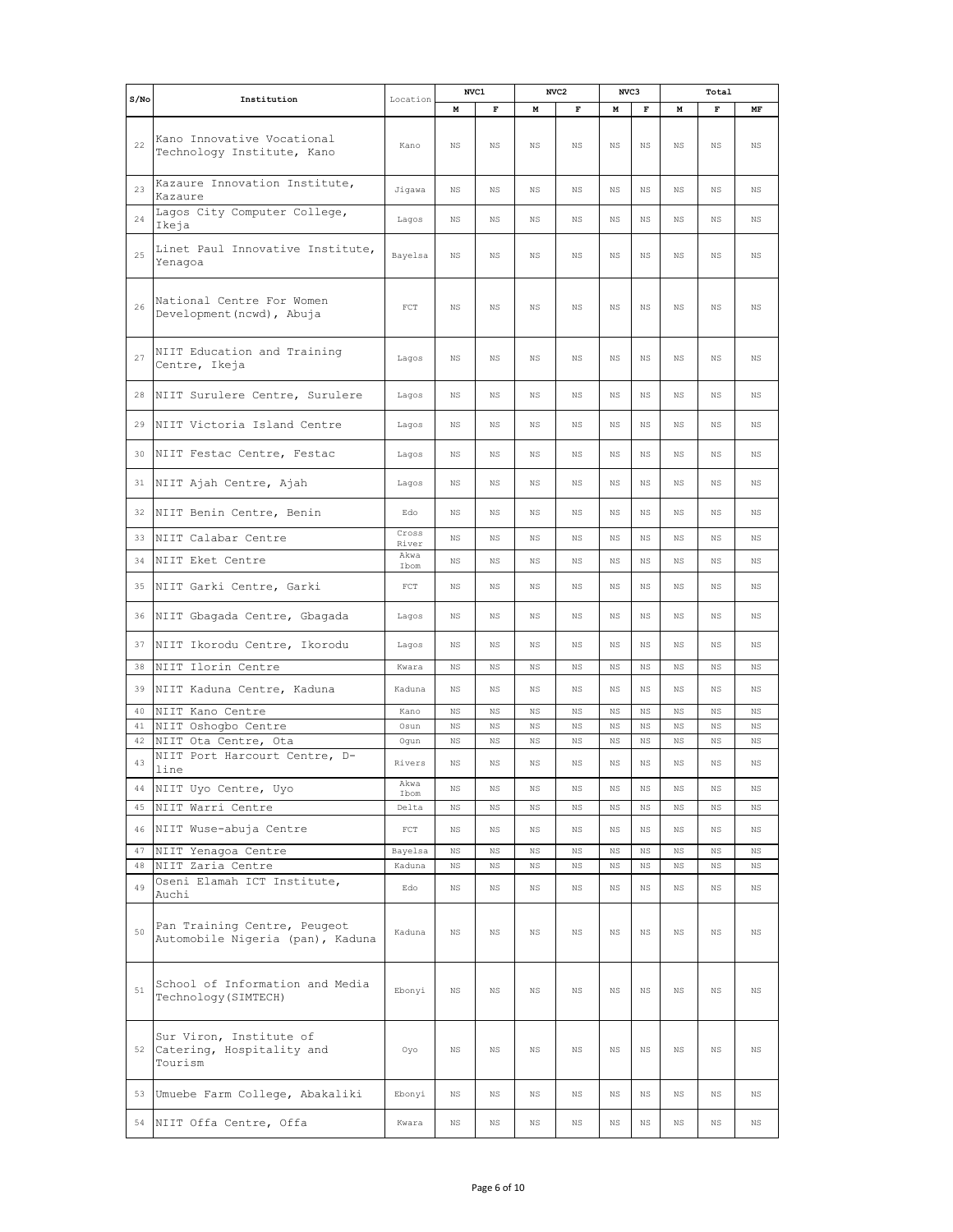| $S/N$ o |                                                                  |                | NVC1        |             |             | NVC <sub>2</sub> | NVC3           |             |             | Total       |             |
|---------|------------------------------------------------------------------|----------------|-------------|-------------|-------------|------------------|----------------|-------------|-------------|-------------|-------------|
|         | Institution                                                      | Location       | M           | $\mathbf F$ | M           | $\mathbf F$      | M              | $\mathbf F$ | M           | $\mathbf F$ | MF          |
| 22      | Kano Innovative Vocational<br>Technology Institute, Kano         | Kano           | $_{\rm NS}$ | $_{\rm NS}$ | $_{\rm NS}$ | <b>NS</b>        | N <sub>S</sub> | NS          | $_{\rm NS}$ | <b>NS</b>   | $_{\rm NS}$ |
| 23      | Kazaure Innovation Institute,<br>Kazaure                         | Jigawa         | NS.         | <b>NS</b>   | NS.         | NS.              | <b>NS</b>      | NS          | NS.         | NS.         | $_{\rm NS}$ |
| 24      | Lagos City Computer College,<br>Ikeja                            | Lagos          | $_{\rm NS}$ | $_{\rm NS}$ | $_{\rm NS}$ | $_{\rm NS}$      | $_{\rm NS}$    | NS          | ΝS          | NS          | ΝS          |
| 25      | Linet Paul Innovative Institute,<br>Yenagoa                      | Bayelsa        | ΝS          | $_{\rm NS}$ | $_{\rm NS}$ | NS               | $_{\rm NS}$    | NS          | ΝS          | NS          | $_{\rm NS}$ |
| 26      | National Centre For Women<br>Development (ncwd), Abuja           | $_{\rm FCT}$   | NS          | $_{\rm NS}$ | $_{\rm NS}$ | NS               | $_{\rm NS}$    | NS          | ΝS          | ΝS          | $_{\rm NS}$ |
| 27      | NIIT Education and Training<br>Centre, Ikeja                     | Lagos          | NS          | $_{\rm NS}$ | $_{\rm NS}$ | NS               | $_{\rm NS}$    | NS          | ΝS          | NS          | $_{\rm NS}$ |
| 28      | NIIT Surulere Centre, Surulere                                   | Lagos          | NS.         | <b>NS</b>   | NS.         | NS.              | <b>NS</b>      | NS.         | NS.         | NS.         | <b>NS</b>   |
| 29      | NIIT Victoria Island Centre                                      | Lagos          | <b>NS</b>   | $_{\rm NS}$ | $_{\rm NS}$ | <b>NS</b>        | $_{\rm NS}$    | $_{\rm NS}$ | NS.         | <b>NS</b>   | $_{\rm NS}$ |
| 30      | NIIT Festac Centre, Festac                                       | Lagos          | NS          | $_{\rm NS}$ | $_{\rm NS}$ | NS               | $_{\rm NS}$    | NS          | $_{\rm NS}$ | $_{\rm NS}$ | $_{\rm NS}$ |
| 31      | NIIT Ajah Centre, Ajah                                           | Lagos          | <b>NS</b>   | <b>NS</b>   | $_{\rm NS}$ | <b>NS</b>        | $_{\rm NS}$    | <b>NS</b>   | <b>NS</b>   | <b>NS</b>   | <b>NS</b>   |
| 32      | NIIT Benin Centre, Benin                                         | Edo            | NS          | $_{\rm NS}$ | $_{\rm NS}$ | NS               | $_{\rm NS}$    | NS          | ΝS          | NS          | $_{\rm NS}$ |
| 33      | NIIT Calabar Centre                                              | Cross<br>River | $_{\rm NS}$ | $_{\rm NS}$ | $_{\rm NS}$ | NS               | $_{\rm NS}$    | NS          | $_{\rm NS}$ | $_{\rm NS}$ | ΝS          |
| 34      | NIIT Eket Centre                                                 | Akwa<br>Ibom   | NS          | $_{\rm NS}$ | $_{\rm NS}$ | NS               | $_{\rm NS}$    | NS          | $_{\rm NS}$ | $_{\rm NS}$ | $_{\rm NS}$ |
| 35      | NIIT Garki Centre, Garki                                         | $_{\rm FCT}$   | NS.         | NS.         | $_{\rm NS}$ | NS.              | $_{\rm NS}$    | NS.         | NS.         | <b>NS</b>   | $_{\rm NS}$ |
| 36      | NIIT Gbagada Centre, Gbagada                                     | Lagos          | <b>NS</b>   | <b>NS</b>   | $_{\rm NS}$ | NS.              | $_{\rm NS}$    | $_{\rm NS}$ | NS.         | <b>NS</b>   | <b>NS</b>   |
| 37      | NIIT Ikorodu Centre, Ikorodu                                     | Lagos          | NS          | $_{\rm NS}$ | $_{\rm NS}$ | NS               | $_{\rm NS}$    | NS          | $_{\rm NS}$ | $_{\rm NS}$ | $_{\rm NS}$ |
| 38      | NIIT Ilorin Centre                                               | Kwara          | $_{\rm NS}$ | $_{\rm NS}$ | $_{\rm NS}$ | NS               | $_{\rm NS}$    | NS          | $_{\rm NS}$ | <b>NS</b>   | $_{\rm NS}$ |
| 39      | NIIT Kaduna Centre, Kaduna                                       | Kaduna         | NS          | $_{\rm NS}$ | $_{\rm NS}$ | NS               | N <sub>S</sub> | NS.         | NS.         | <b>NS</b>   | $_{\rm NS}$ |
| 40      | NIIT Kano Centre                                                 | Kano           | NS          | NS          | $_{\rm NS}$ | NS               | <b>NS</b>      | NS          | $_{\rm NS}$ | NS          | $_{\rm NS}$ |
| 41      | NIIT Oshogbo Centre                                              | Osun           | ΝS          | NS          | NS          | NS               | $_{\rm NS}$    | $_{\rm NS}$ | NS.         | NS          | ΝS          |
| 42      | NIIT Ota Centre, Ota                                             | Oqun           | NS          | $_{\rm NS}$ | $_{\rm NS}$ | NS               | $_{\rm NS}$    | NS          | $_{\rm NS}$ | NS          | ΝS          |
| 43      | NIIT Port Harcourt Centre, D-<br>line                            | Rivers         | NS.         | NS.         | NS.         | N <sub>S</sub>   | N <sub>S</sub> | NS          | NS.         | NS.         | <b>NS</b>   |
| 44      | NIIT Uyo Centre, Uyo                                             | Akwa<br>Ibom   | $_{\rm NS}$ | $_{\rm NS}$ | $_{\rm NS}$ | $_{\rm NS}$      | $_{\rm NS}$    | $_{\rm NS}$ | $_{\rm NS}$ | $_{\rm NS}$ | $_{\rm NS}$ |
| 45      | NIIT Warri Centre                                                | Delta          | $_{\rm NS}$ | $_{\rm NS}$ | $_{\rm NS}$ | $_{\rm NS}$      | $_{\rm NS}$    | $_{\rm NS}$ | $_{\rm NS}$ | NS          | $_{\rm NS}$ |
| 46      | NIIT Wuse-abuja Centre                                           | $_{\rm FCT}$   | $_{\rm NS}$ | $_{\rm NS}$ | $_{\rm NS}$ | $_{\rm NS}$      | $_{\rm NS}$    | NS          | $_{\rm NS}$ | $_{\rm NS}$ | $_{\rm NS}$ |
| 47      | NIIT Yenagoa Centre                                              | Bayelsa        | $_{\rm NS}$ | $_{\rm NS}$ | $_{\rm NS}$ | NS               | $_{\rm NS}$    | NS          | $_{\rm NS}$ | NS          | $_{\rm NS}$ |
| 48      | NIIT Zaria Centre                                                | Kaduna         | NS          | $_{\rm NS}$ | NS          | NS               | $_{\rm NS}$    | ΝS          | ΝS          | NS          | $_{\rm NS}$ |
| 49      | Oseni Elamah ICT Institute,<br>Auchi                             | Edo            | NS          | ΝS          | ΝS          | $_{\rm NS}$      | NS             | NS          | ΝS          | ΝS          | $_{\rm NS}$ |
| 50      | Pan Training Centre, Peugeot<br>Automobile Nigeria (pan), Kaduna | Kaduna         | NS          | $_{\rm NS}$ | $_{\rm NS}$ | $_{\rm NS}$      | NS             | NS          | ΝS          | NS          | NS          |
| 51      | School of Information and Media<br>Technology (SIMTECH)          | Ebonyi         | $_{\rm NS}$ | $_{\rm NS}$ | $_{\rm NS}$ | $_{\rm NS}$      | $_{\rm NS}$    | $_{\rm NS}$ | $_{\rm NS}$ | $_{\rm NS}$ | $_{\rm NS}$ |
| 52      | Sur Viron, Institute of<br>Catering, Hospitality and<br>Tourism  | Oyo            | $_{\rm NS}$ | $_{\rm NS}$ | $_{\rm NS}$ | $_{\rm NS}$      | $_{\rm NS}$    | $_{\rm NS}$ | $_{\rm NS}$ | $_{\rm NS}$ | $_{\rm NS}$ |
| 53      | Umuebe Farm College, Abakaliki                                   | Ebonyi         | $_{\rm NS}$ | $_{\rm NS}$ | $_{\rm NS}$ | $_{\rm NS}$      | $_{\rm NS}$    | NS          | ΝS          | $_{\rm NS}$ | $_{\rm NS}$ |
|         | 54 NIIT Offa Centre, Offa                                        | Kwara          | $_{\rm NS}$ | ΝS          | $_{\rm NS}$ | $_{\rm NS}$      | ΝS             | ΝS          | ΝS          | $_{\rm NS}$ | ΝS          |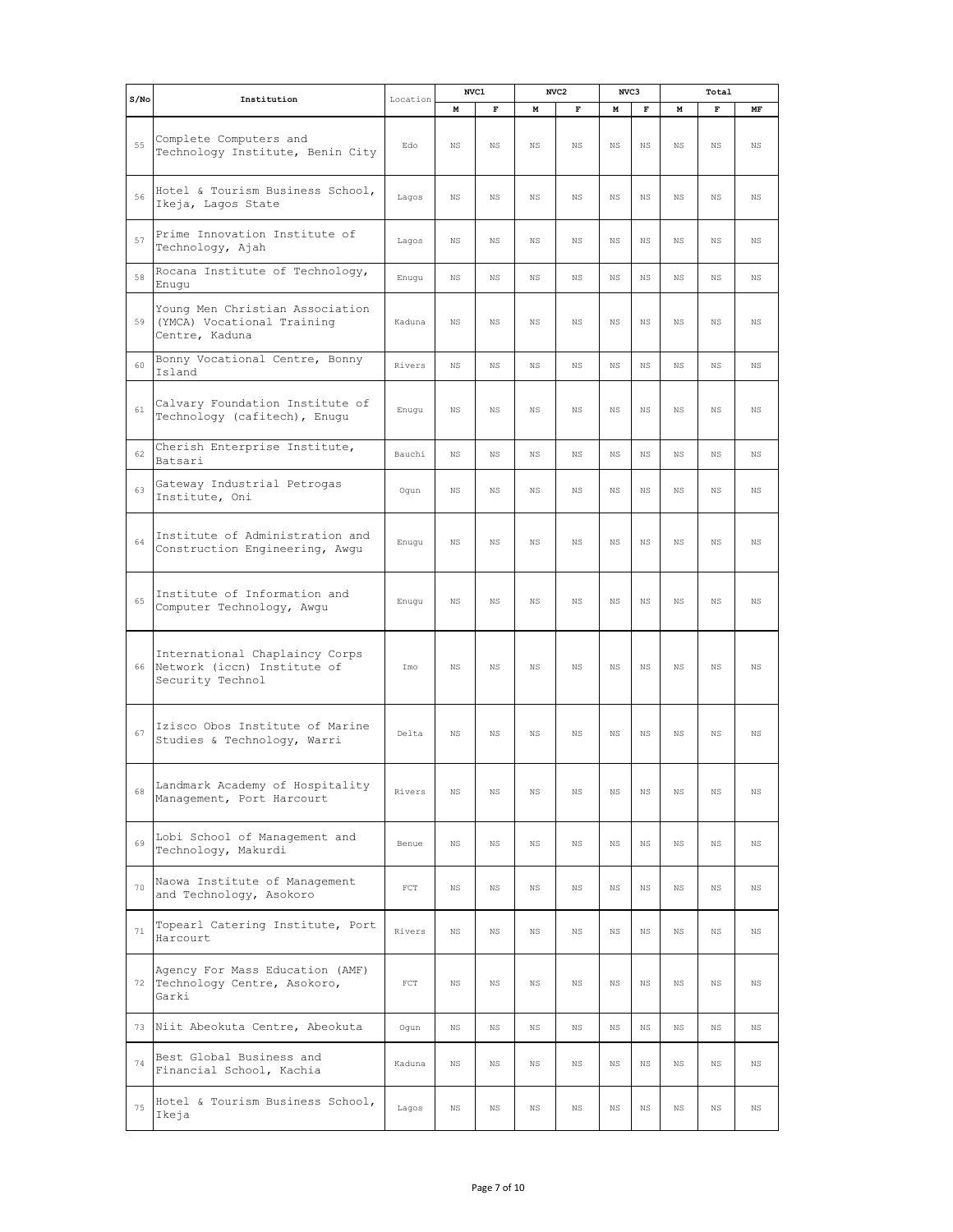| S/NO | Institution                                                                          | Location     | NVC1        |             |             | NVC <sub>2</sub> | NVC3<br>Total |             |             |             |             |
|------|--------------------------------------------------------------------------------------|--------------|-------------|-------------|-------------|------------------|---------------|-------------|-------------|-------------|-------------|
|      |                                                                                      |              | M           | $\mathbf F$ | M           | $\mathbf F$      | M             | $\mathbf F$ | M           | $\mathbf F$ | MF          |
| 55   | Complete Computers and<br>Technology Institute, Benin City                           | Edo          | <b>NS</b>   | NS          | $_{\rm NS}$ | <b>NS</b>        | <b>NS</b>     | <b>NS</b>   | <b>NS</b>   | <b>NS</b>   | $_{\rm NS}$ |
| 56   | Hotel & Tourism Business School,<br>Ikeja, Lagos State                               | Lagos        | <b>NS</b>   | NS          | <b>NS</b>   | <b>NS</b>        | $_{\rm NS}$   | <b>NS</b>   | <b>NS</b>   | <b>NS</b>   | <b>NS</b>   |
| 57   | Prime Innovation Institute of<br>Technology, Ajah                                    | Lagos        | <b>NS</b>   | NS          | $_{\rm NS}$ | <b>NS</b>        | <b>NS</b>     | <b>NS</b>   | NS.         | <b>NS</b>   | $_{\rm NS}$ |
| 58   | Rocana Institute of Technology,<br>Enuqu                                             | Enugu        | <b>NS</b>   | <b>NS</b>   | $_{\rm NS}$ | <b>NS</b>        | $_{\rm NS}$   | <b>NS</b>   | NS.         | <b>NS</b>   | <b>NS</b>   |
| 59   | Young Men Christian Association<br>(YMCA) Vocational Training<br>Centre, Kaduna      | Kaduna       | <b>NS</b>   | NS          | $_{\rm NS}$ | <b>NS</b>        | $_{\rm NS}$   | <b>NS</b>   | NS.         | <b>NS</b>   | <b>NS</b>   |
| 60   | Bonny Vocational Centre, Bonny<br>Island                                             | Rivers       | <b>NS</b>   | <b>NS</b>   | <b>NS</b>   | <b>NS</b>        | $_{\rm NS}$   | $_{\rm NS}$ | NS.         | $_{\rm NS}$ | NS.         |
| 61   | Calvary Foundation Institute of<br>Technology (cafitech), Enugu                      | Enugu        | <b>NS</b>   | <b>NS</b>   | NS.         | <b>NS</b>        | $_{\rm NS}$   | <b>NS</b>   | NS.         | NS.         | $_{\rm NS}$ |
| 62   | Cherish Enterprise Institute,<br>Batsari                                             | Bauchi       | <b>NS</b>   | $_{\rm NS}$ | $_{\rm NS}$ | $_{\rm NS}$      | <b>NS</b>     | $_{\rm NS}$ | <b>NS</b>   | $_{\rm NS}$ | $_{\rm NS}$ |
| 63   | Gateway Industrial Petrogas<br>Institute, Oni                                        | Oqun         | <b>NS</b>   | NS          | $_{\rm NS}$ | <b>NS</b>        | $_{\rm NS}$   | $_{\rm NS}$ | <b>NS</b>   | <b>NS</b>   | $_{\rm NS}$ |
| 64   | Institute of Administration and<br>Construction Engineering, Awgu                    | Enugu        | <b>NS</b>   | NS          | NS.         | <b>NS</b>        | <b>NS</b>     | <b>NS</b>   | <b>NS</b>   | <b>NS</b>   | <b>NS</b>   |
| 65   | Institute of Information and<br>Computer Technology, Awgu                            | Enugu        | <b>NS</b>   | <b>NS</b>   | $_{\rm NS}$ | <b>NS</b>        | <b>NS</b>     | <b>NS</b>   | <b>NS</b>   | <b>NS</b>   | $_{\rm NS}$ |
|      | International Chaplaincy Corps<br>66 Network (iccn) Institute of<br>Security Technol | Imo          | $_{\rm NS}$ | $_{\rm NS}$ | $_{\rm NS}$ | <b>NS</b>        | $_{\rm NS}$   | <b>NS</b>   | NS.         | <b>NS</b>   | $_{\rm NS}$ |
| 67   | Izisco Obos Institute of Marine<br>Studies & Technology, Warri                       | Delta        | <b>NS</b>   | <b>NS</b>   | $_{\rm NS}$ | <b>NS</b>        | <b>NS</b>     | $_{\rm NS}$ | <b>NS</b>   | <b>NS</b>   | $_{\rm NS}$ |
| 68   | Landmark Academy of Hospitality<br>Management, Port Harcourt                         | Rivers       | $_{\rm NS}$ | $_{\rm NS}$ | $_{\rm NS}$ | $_{\rm NS}$      | $_{\rm NS}$   | $_{\rm NS}$ | $_{\rm NS}$ | $_{\rm NS}$ | $_{\rm NS}$ |
| 69   | Lobi School of Management and<br>Technology, Makurdi                                 | Benue        | NS          | NS          | $_{\rm NS}$ | $_{\rm NS}$      | NS            | ΝS          | ΝS          | $_{\rm NS}$ | NS          |
| 70   | Naowa Institute of Management<br>and Technology, Asokoro                             | $_{\rm FCT}$ | $_{\rm NS}$ | $_{\rm NS}$ | $_{\rm NS}$ | <b>NS</b>        | <b>NS</b>     | $_{\rm NS}$ | $_{\rm NS}$ | <b>NS</b>   | <b>NS</b>   |
| 71   | Topearl Catering Institute, Port<br>Harcourt                                         | Rivers       | <b>NS</b>   | <b>NS</b>   | $_{\rm NS}$ | <b>NS</b>        | $_{\rm NS}$   | $_{\rm NS}$ | <b>NS</b>   | <b>NS</b>   | <b>NS</b>   |
| 72   | Agency For Mass Education (AMF)<br>Technology Centre, Asokoro,<br>Garki              | $_{\rm FCT}$ | <b>NS</b>   | <b>NS</b>   | $_{\rm NS}$ | <b>NS</b>        | <b>NS</b>     | NS          | <b>NS</b>   | <b>NS</b>   | <b>NS</b>   |
|      | 73 Niit Abeokuta Centre, Abeokuta                                                    | Ogun         | $_{\rm NS}$ | $_{\rm NS}$ | $_{\rm NS}$ | $_{\rm NS}$      | $_{\rm NS}$   | $_{\rm NS}$ | <b>NS</b>   | <b>NS</b>   | $_{\rm NS}$ |
| 74   | Best Global Business and<br>Financial School, Kachia                                 | Kaduna       | $_{\rm NS}$ | $_{\rm NS}$ | $_{\rm NS}$ | $_{\rm NS}$      | $_{\rm NS}$   | $_{\rm NS}$ | $_{\rm NS}$ | $_{\rm NS}$ | $_{\rm NS}$ |
| 75   | Hotel & Tourism Business School,<br>Ikeja                                            | Lagos        | $_{\rm NS}$ | $_{\rm NS}$ | $_{\rm NS}$ | $_{\rm NS}$      | $_{\rm NS}$   | ΝS          | $_{\rm NS}$ | $_{\rm NS}$ | $_{\rm NS}$ |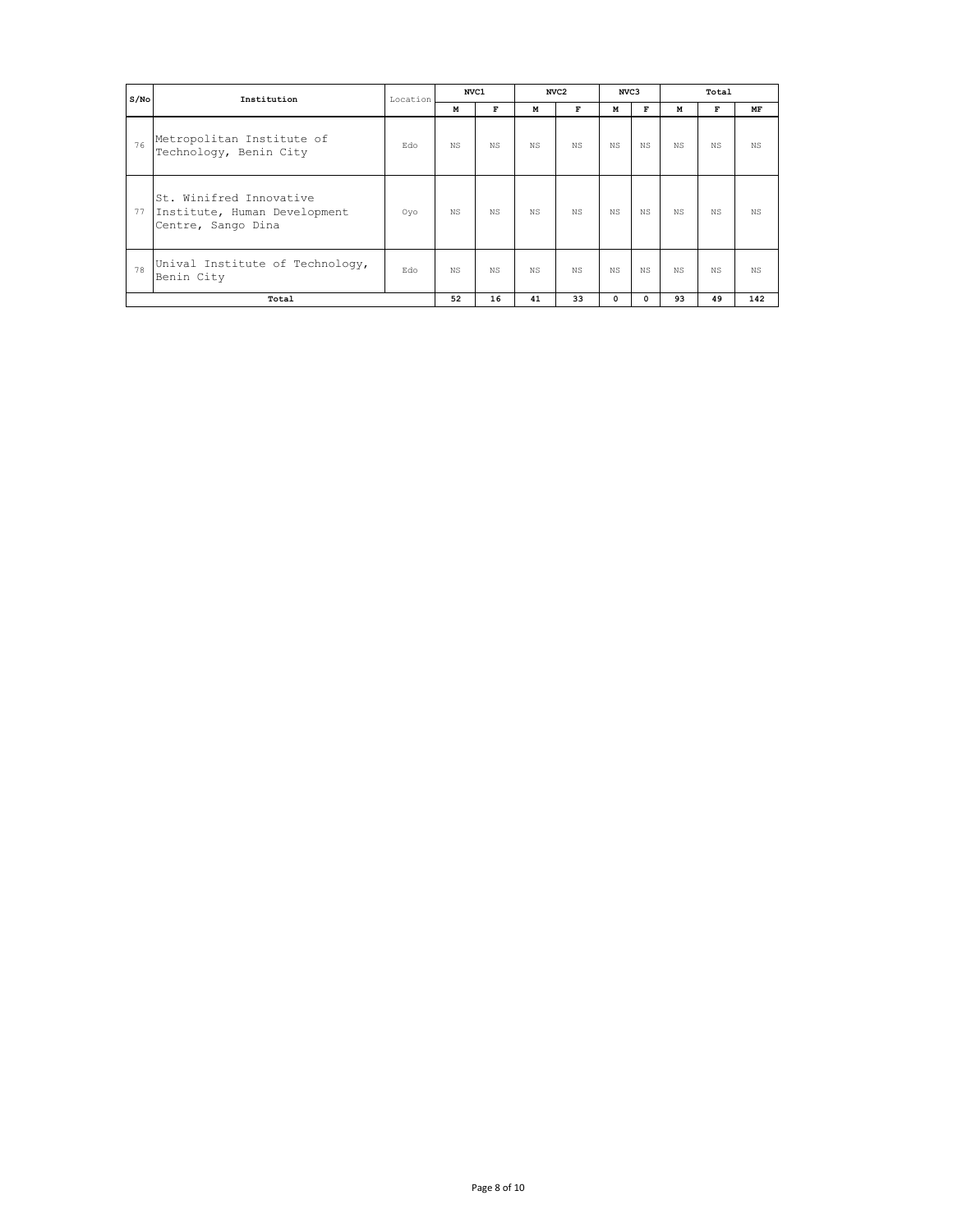| S/N <sub>O</sub> | Institution                                                                   | Location | NVC1           |                |     | NVC <sub>2</sub> | NVC3      |                |      | Total |           |
|------------------|-------------------------------------------------------------------------------|----------|----------------|----------------|-----|------------------|-----------|----------------|------|-------|-----------|
|                  |                                                                               |          | M              | F              | м   | $\mathbf{F}$     | м         | F              | M    | F     | MF        |
| 76               | Metropolitan Institute of<br>Technology, Benin City                           | Edo      | N <sub>S</sub> | N <sub>S</sub> | NS. | NS.              | <b>NS</b> | N.S            | N.S. | NS.   | <b>NS</b> |
| 77               | St. Winifred Innovative<br>Institute, Human Development<br>Centre, Sango Dina | Oyo      | N <sub>S</sub> | N <sub>S</sub> | NS. | NS.              | <b>NS</b> | <b>NS</b>      | NS.  | NS.   | <b>NS</b> |
| 78               | Unival Institute of Technology,<br>Benin City                                 | Edo      | N <sub>S</sub> | N <sub>S</sub> | NS. | NS.              | <b>NS</b> | N <sub>S</sub> | NS.  | NS.   | <b>NS</b> |
|                  | Total                                                                         |          | 52             | 16             | 41  | 33               | 0         | $\Omega$       | 93   | 49    | 142       |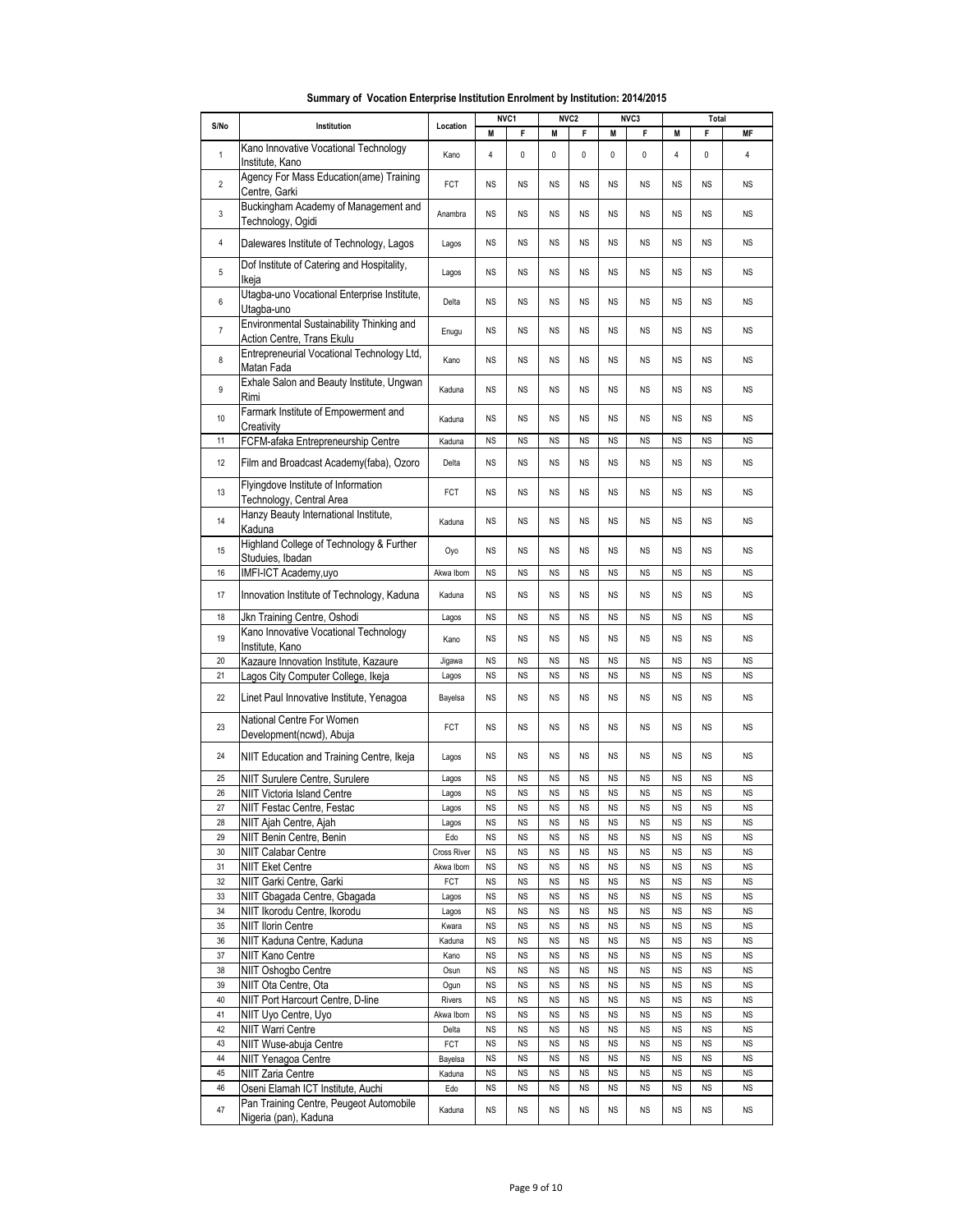|                |                                                                              |                  |                        | NVC1                   |                        | NVC <sub>2</sub>       |                        | NVC3                   |                        | Total                  |                        |
|----------------|------------------------------------------------------------------------------|------------------|------------------------|------------------------|------------------------|------------------------|------------------------|------------------------|------------------------|------------------------|------------------------|
| S/No           | Institution                                                                  | Location         | M                      | F                      | M                      | F                      | M                      | F                      | M                      | F                      | <b>MF</b>              |
| $\mathbf{1}$   | Kano Innovative Vocational Technology<br>Institute, Kano                     | Kano             | 4                      | 0                      | $\pmb{0}$              | 0                      | $\mathbf 0$            | 0                      | 4                      | 0                      | 4                      |
| $\overline{2}$ | Agency For Mass Education(ame) Training<br>Centre, Garki                     | FCT              | <b>NS</b>              | <b>NS</b>              | <b>NS</b>              | <b>NS</b>              | <b>NS</b>              | <b>NS</b>              | <b>NS</b>              | <b>NS</b>              | <b>NS</b>              |
| 3              | Buckingham Academy of Management and<br>Technology, Ogidi                    | Anambra          | <b>NS</b>              | <b>NS</b>              | <b>NS</b>              | <b>NS</b>              | <b>NS</b>              | <b>NS</b>              | <b>NS</b>              | <b>NS</b>              | <b>NS</b>              |
| $\overline{4}$ | Dalewares Institute of Technology, Lagos                                     | Lagos            | <b>NS</b>              | <b>NS</b>              | <b>NS</b>              | <b>NS</b>              | <b>NS</b>              | <b>NS</b>              | <b>NS</b>              | <b>NS</b>              | <b>NS</b>              |
| 5              | Dof Institute of Catering and Hospitality,<br>Ikeja                          | Lagos            | <b>NS</b>              | <b>NS</b>              | <b>NS</b>              | <b>NS</b>              | <b>NS</b>              | <b>NS</b>              | <b>NS</b>              | <b>NS</b>              | <b>NS</b>              |
| 6              | Utagba-uno Vocational Enterprise Institute,<br>Utagba-uno                    | Delta            | <b>NS</b>              | <b>NS</b>              | <b>NS</b>              | <b>NS</b>              | <b>NS</b>              | <b>NS</b>              | <b>NS</b>              | <b>NS</b>              | <b>NS</b>              |
| $\overline{7}$ | Environmental Sustainability Thinking and<br>Action Centre, Trans Ekulu      | Enugu            | <b>NS</b>              | <b>NS</b>              | <b>NS</b>              | <b>NS</b>              | <b>NS</b>              | <b>NS</b>              | <b>NS</b>              | <b>NS</b>              | <b>NS</b>              |
| 8              | Entrepreneurial Vocational Technology Ltd,<br>Matan Fada                     | Kano             | <b>NS</b>              | <b>NS</b>              | <b>NS</b>              | <b>NS</b>              | <b>NS</b>              | <b>NS</b>              | <b>NS</b>              | <b>NS</b>              | <b>NS</b>              |
| 9              | Exhale Salon and Beauty Institute, Ungwan<br>Rimi                            | Kaduna           | <b>NS</b>              | <b>NS</b>              | <b>NS</b>              | <b>NS</b>              | <b>NS</b>              | <b>NS</b>              | <b>NS</b>              | <b>NS</b>              | <b>NS</b>              |
| 10             | Farmark Institute of Empowerment and<br>Creativity                           | Kaduna           | <b>NS</b>              | <b>NS</b>              | <b>NS</b>              | <b>NS</b>              | <b>NS</b>              | <b>NS</b>              | <b>NS</b>              | <b>NS</b>              | <b>NS</b>              |
| 11             | FCFM-afaka Entrepreneurship Centre                                           | Kaduna           | <b>NS</b>              | <b>NS</b>              | <b>NS</b>              | <b>NS</b>              | <b>NS</b>              | <b>NS</b>              | <b>NS</b>              | <b>NS</b>              | <b>NS</b>              |
| 12             | Film and Broadcast Academy(faba), Ozoro                                      | Delta            | <b>NS</b>              | <b>NS</b>              | <b>NS</b>              | <b>NS</b>              | <b>NS</b>              | <b>NS</b>              | <b>NS</b>              | <b>NS</b>              | <b>NS</b>              |
| 13             | Flyingdove Institute of Information<br>Technology, Central Area              | FCT              | <b>NS</b>              | <b>NS</b>              | <b>NS</b>              | <b>NS</b>              | <b>NS</b>              | <b>NS</b>              | <b>NS</b>              | <b>NS</b>              | <b>NS</b>              |
| 14             | Hanzy Beauty International Institute,<br>Kaduna                              | Kaduna           | <b>NS</b>              | <b>NS</b>              | <b>NS</b>              | <b>NS</b>              | <b>NS</b>              | <b>NS</b>              | <b>NS</b>              | <b>NS</b>              | <b>NS</b>              |
| 15             | Highland College of Technology & Further<br>Studuies, Ibadan                 | Oyo              | <b>NS</b>              | <b>NS</b>              | <b>NS</b>              | <b>NS</b>              | <b>NS</b>              | <b>NS</b>              | <b>NS</b>              | <b>NS</b>              | <b>NS</b>              |
| 16             | IMFI-ICT Academy, uyo                                                        | Akwa Ibom        | <b>NS</b>              | <b>NS</b>              | <b>NS</b>              | <b>NS</b>              | <b>NS</b>              | <b>NS</b>              | <b>NS</b>              | <b>NS</b>              | <b>NS</b>              |
| 17             | Innovation Institute of Technology, Kaduna                                   | Kaduna           | <b>NS</b>              | <b>NS</b>              | <b>NS</b>              | <b>NS</b>              | <b>NS</b>              | <b>NS</b>              | <b>NS</b>              | <b>NS</b>              | <b>NS</b>              |
| 18             | Jkn Training Centre, Oshodi                                                  | Lagos            | <b>NS</b>              | <b>NS</b>              | <b>NS</b>              | <b>NS</b>              | <b>NS</b>              | <b>NS</b>              | <b>NS</b>              | <b>NS</b>              | <b>NS</b>              |
| 19             | Kano Innovative Vocational Technology<br>Institute, Kano                     | Kano             | <b>NS</b>              | <b>NS</b>              | <b>NS</b>              | <b>NS</b>              | <b>NS</b>              | <b>NS</b>              | <b>NS</b>              | <b>NS</b>              | <b>NS</b>              |
| 20             | Kazaure Innovation Institute, Kazaure                                        | Jigawa           | <b>NS</b>              | <b>NS</b>              | <b>NS</b>              | <b>NS</b>              | <b>NS</b>              | <b>NS</b>              | <b>NS</b>              | <b>NS</b>              | <b>NS</b>              |
| 21             | Lagos City Computer College, Ikeja                                           | Lagos            | <b>NS</b>              | <b>NS</b>              | <b>NS</b>              | <b>NS</b>              | <b>NS</b>              | <b>NS</b>              | <b>NS</b>              | <b>NS</b>              | <b>NS</b>              |
| 22             | Linet Paul Innovative Institute, Yenagoa                                     | Bayelsa          | <b>NS</b>              | <b>NS</b>              | <b>NS</b>              | <b>NS</b>              | <b>NS</b>              | <b>NS</b>              | <b>NS</b>              | <b>NS</b>              | <b>NS</b>              |
| 23             | National Centre For Women<br>Development(ncwd), Abuja                        | FCT              | <b>NS</b>              | <b>NS</b>              | <b>NS</b>              | <b>NS</b>              | <b>NS</b>              | <b>NS</b>              | <b>NS</b>              | <b>NS</b>              | <b>NS</b>              |
| 24             | NIIT Education and Training Centre, Ikeja                                    | Lagos            | <b>NS</b>              | <b>NS</b>              | <b>NS</b>              | <b>NS</b>              | <b>NS</b>              | <b>NS</b>              | <b>NS</b>              | <b>NS</b>              | <b>NS</b>              |
| 25             | NIIT Surulere Centre, Surulere                                               | Lagos            | <b>NS</b>              | <b>NS</b>              | <b>NS</b>              | <b>NS</b>              | <b>NS</b>              | <b>NS</b>              | <b>NS</b>              | <b>NS</b>              | <b>NS</b>              |
| 26             | NIIT Victoria Island Centre                                                  | Lagos            | <b>NS</b>              | <b>NS</b>              | <b>NS</b>              | <b>NS</b>              | <b>NS</b>              | <b>NS</b>              | <b>NS</b>              | <b>NS</b>              | <b>NS</b>              |
| 27             | NIIT Festac Centre, Festac                                                   | Lagos            | <b>NS</b>              | <b>NS</b>              | <b>NS</b>              | <b>NS</b>              | <b>NS</b>              | <b>NS</b>              | <b>NS</b>              | <b>NS</b>              | <b>NS</b>              |
| 28             | NIIT Ajah Centre, Ajah                                                       | Lagos            | <b>NS</b>              | <b>NS</b>              | <b>NS</b>              | <b>NS</b>              | <b>NS</b>              | <b>NS</b>              | <b>NS</b>              | <b>NS</b>              | <b>NS</b>              |
| 29             | NIIT Benin Centre, Benin                                                     | Edo              | <b>NS</b>              | <b>NS</b>              | <b>NS</b>              | <b>NS</b>              | <b>NS</b>              | <b>NS</b>              | <b>NS</b>              | <b>NS</b>              | <b>NS</b>              |
| 30             | <b>NIIT Calabar Centre</b>                                                   | Cross River      | <b>NS</b>              | <b>NS</b>              | <b>NS</b>              | <b>NS</b>              | <b>NS</b>              | <b>NS</b>              | <b>NS</b>              | <b>NS</b>              | <b>NS</b>              |
| 31<br>32       | <b>NIIT Eket Centre</b><br>NIIT Garki Centre, Garki                          | Akwa Ibom<br>FCT | <b>NS</b><br><b>NS</b> | <b>NS</b><br><b>NS</b> | <b>NS</b><br><b>NS</b> | <b>NS</b><br><b>NS</b> | <b>NS</b><br><b>NS</b> | <b>NS</b><br><b>NS</b> | <b>NS</b><br><b>NS</b> | <b>NS</b><br><b>NS</b> | <b>NS</b><br><b>NS</b> |
| 33             | NIIT Gbagada Centre, Gbagada                                                 | Lagos            | <b>NS</b>              | <b>NS</b>              | <b>NS</b>              | <b>NS</b>              | <b>NS</b>              | <b>NS</b>              | <b>NS</b>              | <b>NS</b>              | <b>NS</b>              |
| 34             | NIIT Ikorodu Centre, Ikorodu                                                 | Lagos            | <b>NS</b>              | <b>NS</b>              | <b>NS</b>              | <b>NS</b>              | <b>NS</b>              | <b>NS</b>              | <b>NS</b>              | <b>NS</b>              | <b>NS</b>              |
| 35             | <b>NIIT Ilorin Centre</b>                                                    | Kwara            | <b>NS</b>              | <b>NS</b>              | <b>NS</b>              | <b>NS</b>              | NS                     | <b>NS</b>              | <b>NS</b>              | <b>NS</b>              | ΝS                     |
| 36             | NIIT Kaduna Centre, Kaduna                                                   | Kaduna           | <b>NS</b>              | <b>NS</b>              | <b>NS</b>              | <b>NS</b>              | <b>NS</b>              | <b>NS</b>              | <b>NS</b>              | <b>NS</b>              | <b>NS</b>              |
| 37             | <b>NIIT Kano Centre</b>                                                      | Kano             | <b>NS</b>              | <b>NS</b>              | <b>NS</b>              | <b>NS</b>              | <b>NS</b>              | <b>NS</b>              | <b>NS</b>              | <b>NS</b>              | <b>NS</b>              |
| 38             | NIIT Oshogbo Centre                                                          | Osun             | <b>NS</b>              | <b>NS</b>              | <b>NS</b>              | <b>NS</b>              | <b>NS</b>              | <b>NS</b>              | <b>NS</b>              | <b>NS</b>              | <b>NS</b>              |
| 39             | NIIT Ota Centre, Ota                                                         | Ogun             | <b>NS</b>              | <b>NS</b>              | <b>NS</b>              | <b>NS</b>              | <b>NS</b>              | <b>NS</b>              | <b>NS</b>              | <b>NS</b>              | <b>NS</b>              |
| 40             | NIIT Port Harcourt Centre, D-line                                            | Rivers           | ΝS                     | <b>NS</b>              | <b>NS</b>              | <b>NS</b>              | NS                     | <b>NS</b>              | <b>NS</b>              | ΝS                     | ΝS                     |
| 41             | NIIT Uyo Centre, Uyo                                                         | Akwa Ibom        | <b>NS</b>              | <b>NS</b>              | <b>NS</b>              | <b>NS</b>              | <b>NS</b>              | <b>NS</b>              | <b>NS</b>              | <b>NS</b>              | <b>NS</b>              |
| 42             | NIIT Warri Centre                                                            | Delta            | <b>NS</b>              | <b>NS</b>              | <b>NS</b>              | <b>NS</b>              | <b>NS</b>              | <b>NS</b>              | <b>NS</b>              | <b>NS</b>              | <b>NS</b>              |
| 43             | NIIT Wuse-abuja Centre                                                       | FCT              | <b>NS</b>              | <b>NS</b>              | <b>NS</b>              | <b>NS</b>              | <b>NS</b>              | <b>NS</b>              | <b>NS</b>              | <b>NS</b>              | <b>NS</b>              |
| 44             | <b>NIIT Yenagoa Centre</b>                                                   | Bayelsa          | <b>NS</b>              | <b>NS</b>              | <b>NS</b>              | <b>NS</b>              | <b>NS</b>              | <b>NS</b>              | <b>NS</b>              | <b>NS</b>              | <b>NS</b>              |
| 45             | <b>NIIT Zaria Centre</b>                                                     | Kaduna           | <b>NS</b>              | <b>NS</b>              | <b>NS</b>              | <b>NS</b>              | <b>NS</b>              | <b>NS</b>              | <b>NS</b>              | <b>NS</b>              | <b>NS</b>              |
| 46<br>47       | Oseni Elamah ICT Institute, Auchi<br>Pan Training Centre, Peugeot Automobile | Edo<br>Kaduna    | ΝS<br>NS.              | <b>NS</b><br><b>NS</b> | <b>NS</b><br><b>NS</b> | <b>NS</b><br><b>NS</b> | <b>NS</b><br><b>NS</b> | <b>NS</b><br><b>NS</b> | <b>NS</b><br><b>NS</b> | <b>NS</b><br><b>NS</b> | ΝS<br>ΝS               |
|                | Nigeria (pan), Kaduna                                                        |                  |                        |                        |                        |                        |                        |                        |                        |                        |                        |